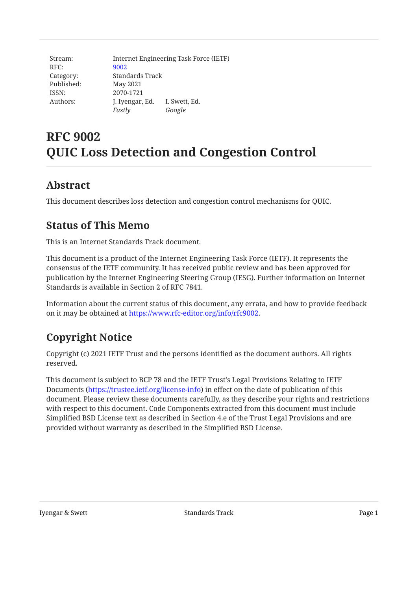| Stream:    |                 | Internet Engineering Task Force (IETF) |
|------------|-----------------|----------------------------------------|
| RFC:       | 9002            |                                        |
| Category:  | Standards Track |                                        |
| Published: | May 2021        |                                        |
| ISSN:      | 2070-1721       |                                        |
| Authors:   | J. Iyengar, Ed. | I. Swett, Ed.                          |
|            | Fastly          | Google                                 |

# **RFC 9002 QUIC Loss Detection and Congestion Control**

## <span id="page-0-0"></span>**[Abstract](#page-0-0)**

<span id="page-0-1"></span>This document describes loss detection and congestion control mechanisms for QUIC.

## **[Status of This Memo](#page-0-1)**

This is an Internet Standards Track document.

This document is a product of the Internet Engineering Task Force (IETF). It represents the consensus of the IETF community. It has received public review and has been approved for publication by the Internet Engineering Steering Group (IESG). Further information on Internet Standards is available in Section 2 of RFC 7841.

Information about the current status of this document, any errata, and how to provide feedback on it may be obtained at <https://www.rfc-editor.org/info/rfc9002>.

# <span id="page-0-2"></span>**[Copyright Notice](#page-0-2)**

Copyright (c) 2021 IETF Trust and the persons identified as the document authors. All rights reserved.

This document is subject to BCP 78 and the IETF Trust's Legal Provisions Relating to IETF Documents (<https://trustee.ietf.org/license-info>) in effect on the date of publication of this document. Please review these documents carefully, as they describe your rights and restrictions with respect to this document. Code Components extracted from this document must include Simplified BSD License text as described in Section 4.e of the Trust Legal Provisions and are provided without warranty as described in the Simplified BSD License.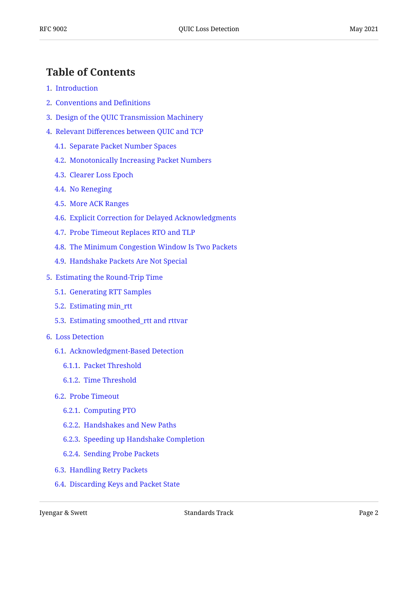## <span id="page-1-0"></span>**[Table of Contents](#page-1-0)**

- [1.](#page-3-0) [Introduction](#page-3-0)
- [2.](#page-3-1) [Conventions and De](#page-3-1)finitions
- [3.](#page-4-0) [Design of the QUIC Transmission Machinery](#page-4-0)
- [4.](#page-4-1) Relevant Diff[erences between QUIC and TCP](#page-4-1)
	- [4.1.](#page-5-0) [Separate Packet Number Spaces](#page-5-0)
	- [4.2.](#page-5-1) [Monotonically Increasing Packet Numbers](#page-5-1)
	- [4.3.](#page-5-2) [Clearer Loss Epoch](#page-5-2)
	- [4.4.](#page-5-3) [No Reneging](#page-5-3)
	- [4.5.](#page-6-0) [More ACK Ranges](#page-6-0)
	- [4.6.](#page-6-1) [Explicit Correction for Delayed Acknowledgments](#page-6-1)
	- [4.7.](#page-6-2) [Probe Timeout Replaces RTO and TLP](#page-6-2)
	- [4.8.](#page-6-3) [The Minimum Congestion Window Is Two Packets](#page-6-3)
	- [4.9.](#page-7-0) [Handshake Packets Are Not Special](#page-7-0)
- [5.](#page-7-1) [Estimating the Round-Trip Time](#page-7-1)
	- [5.1.](#page-7-2) [Generating RTT Samples](#page-7-2)
	- [5.2.](#page-8-0) [Estimating min\\_rtt](#page-8-0)
	- [5.3.](#page-8-1) [Estimating smoothed\\_rtt and rttvar](#page-8-1)
- [6.](#page-10-0) [Loss Detection](#page-10-0)
	- [6.1.](#page-10-1) [Acknowledgment-Based Detection](#page-10-1)
		- [6.1.1.](#page-11-0) [Packet Threshold](#page-11-0)
		- [6.1.2.](#page-11-1) [Time Threshold](#page-11-1)
	- [6.2.](#page-12-0) [Probe Timeout](#page-12-0)
		- [6.2.1.](#page-12-1) [Computing PTO](#page-12-1)
		- [6.2.2.](#page-13-0) [Handshakes and New Paths](#page-13-0)
		- [6.2.3.](#page-14-0) [Speeding up Handshake Completion](#page-14-0)
		- [6.2.4.](#page-14-1) [Sending Probe Packets](#page-14-1)
	- [6.3.](#page-15-0) [Handling Retry Packets](#page-15-0)
	- [6.4.](#page-16-0) [Discarding Keys and Packet State](#page-16-0)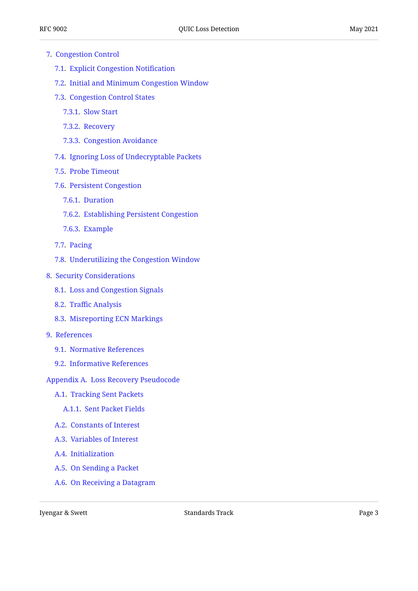- [7.](#page-16-1) [Congestion Control](#page-16-1)
	- [7.1.](#page-17-0) [Explicit Congestion Noti](#page-17-0)fication
	- [7.2.](#page-17-1) [Initial and Minimum Congestion Window](#page-17-1)
	- [7.3.](#page-17-2) [Congestion Control States](#page-17-2)
		- [7.3.1.](#page-18-0) [Slow Start](#page-18-0)
		- [7.3.2.](#page-18-1) [Recovery](#page-18-1)
		- [7.3.3.](#page-19-0) [Congestion Avoidance](#page-19-0)
	- [7.4.](#page-19-1) [Ignoring Loss of Undecryptable Packets](#page-19-1)
	- [7.5.](#page-19-2) [Probe Timeout](#page-19-2)
	- [7.6.](#page-19-3) [Persistent Congestion](#page-19-3)
		- [7.6.1.](#page-20-0) [Duration](#page-20-0)
		- [7.6.2.](#page-20-1) [Establishing Persistent Congestion](#page-20-1)
		- [7.6.3.](#page-21-0) [Example](#page-21-0)
	- [7.7.](#page-22-0) [Pacing](#page-22-0)
	- [7.8.](#page-23-0) [Underutilizing the Congestion Window](#page-23-0)
- [8.](#page-23-1) [Security Considerations](#page-23-1)
	- [8.1.](#page-23-2) [Loss and Congestion Signals](#page-23-2)
	- [8.2.](#page-23-3) Traffi[c Analysis](#page-23-3)
	- [8.3.](#page-23-4) [Misreporting ECN Markings](#page-23-4)
- [9.](#page-24-0) [References](#page-24-0)
	- [9.1.](#page-24-1) [Normative References](#page-24-1)
	- [9.2.](#page-24-2) [Informative References](#page-24-2)
- [Appendix A.](#page-26-0) [Loss Recovery Pseudocode](#page-26-0)
	- [A.1](#page-26-1). [Tracking Sent Packets](#page-26-1)
		- [A.1.1](#page-26-2). [Sent Packet Fields](#page-26-2)
	- [A.2](#page-27-0). [Constants of Interest](#page-27-0)
	- [A.3](#page-27-1). [Variables of Interest](#page-27-1)
	- [A.4](#page-28-0). [Initialization](#page-28-0)
	- [A.5](#page-28-1). [On Sending a Packet](#page-28-1)
	- [A.6](#page-29-0). [On Receiving a Datagram](#page-29-0)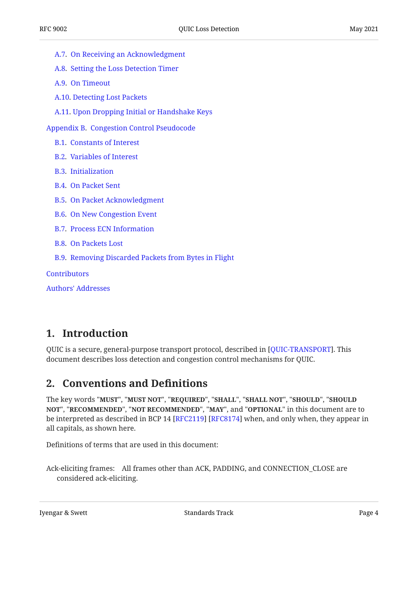- [A.7](#page-29-1). [On Receiving an Acknowledgment](#page-29-1)
- [A.8](#page-32-0). [Setting the Loss Detection Timer](#page-32-0)
- [A.9](#page-35-0). [On Timeout](#page-35-0)
- [A.10.](#page-35-1) [Detecting Lost Packets](#page-35-1)
- [A.11.](#page-36-0) [Upon Dropping Initial or Handshake Keys](#page-36-0)
- [Appendix B](#page-37-0). [Congestion Control Pseudocode](#page-37-0)
	- [B.1.](#page-37-1) [Constants of Interest](#page-37-1)
	- [B.2.](#page-37-2) [Variables of Interest](#page-37-2)
	- [B.3.](#page-38-0) [Initialization](#page-38-0)
	- [B.4.](#page-38-1) [On Packet Sent](#page-38-1)
	- [B.5.](#page-38-2) [On Packet Acknowledgment](#page-38-2)
	- [B.6.](#page-39-0) [On New Congestion Event](#page-39-0)
	- [B.7.](#page-40-0) [Process ECN Information](#page-40-0)
	- [B.8.](#page-40-1) [On Packets Lost](#page-40-1)
	- [B.9.](#page-40-2) [Removing Discarded Packets from Bytes in Flight](#page-40-2)

**[Contributors](#page-41-0)** 

[Authors' Addresses](#page-41-1)

## <span id="page-3-0"></span>**[1. Introduction](#page-3-0)**

<span id="page-3-1"></span>QUIC is a secure, general-purpose transport protocol, described in [QUIC-TRANSPORT]. This document describes loss detection and congestion control mechanisms for QUIC.

## **[2. Conventions and De](#page-3-1)finitions**

The key words "MUST", "MUST NOT", "REQUIRED", "SHALL", "SHALL NOT", "SHOULD", "SHOULD <code>NOT",</code> "<code>RECOMMENDED", "NOT RECOMMENDED", "MAY", and "OPTIONAL" in this document are to</code> be interpreted as described in BCP 14 [RFC2119] [RFC8174] when, and only when, they appear in all capitals, as shown here.

Definitions of terms that are used in this document:

Ack-eliciting frames: All frames other than ACK, PADDING, and CONNECTION\_CLOSE are considered ack-eliciting.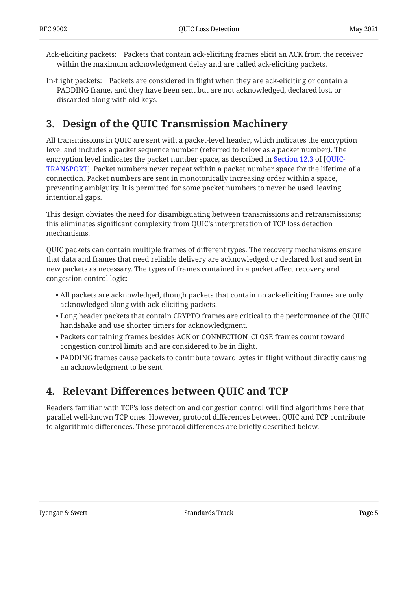Ack-eliciting packets: Packets that contain ack-eliciting frames elicit an ACK from the receiver within the maximum acknowledgment delay and are called ack-eliciting packets.

In-flight packets: Packets are considered in flight when they are ack-eliciting or contain a PADDING frame, and they have been sent but are not acknowledged, declared lost, or discarded along with old keys.

# <span id="page-4-0"></span>**[3. Design of the QUIC Transmission Machinery](#page-4-0)**

All transmissions in QUIC are sent with a packet-level header, which indicates the encryption level and includes a packet sequence number (referred to below as a packet number). The encryption level indicates the packet number space, as described in [Section 12.3](https://www.rfc-editor.org/rfc/rfc9000#section-12.3) of [[QUIC-](#page-24-3)[TRANSPORT\]](#page-24-3). Packet numbers never repeat within a packet number space for the lifetime of a connection. Packet numbers are sent in monotonically increasing order within a space, preventing ambiguity. It is permitted for some packet numbers to never be used, leaving intentional gaps.

This design obviates the need for disambiguating between transmissions and retransmissions; this eliminates significant complexity from QUIC's interpretation of TCP loss detection mechanisms.

QUIC packets can contain multiple frames of different types. The recovery mechanisms ensure that data and frames that need reliable delivery are acknowledged or declared lost and sent in new packets as necessary. The types of frames contained in a packet affect recovery and congestion control logic:

- $\bullet$  All packets are acknowledged, though packets that contain no ack-eliciting frames are only acknowledged along with ack-eliciting packets.
- $\bullet$  Long header packets that contain CRYPTO frames are critical to the performance of the QUIC handshake and use shorter timers for acknowledgment.
- Packets containing frames besides ACK or CONNECTION\_CLOSE frames count toward congestion control limits and are considered to be in flight.
- PADDING frames cause packets to contribute toward bytes in flight without directly causing an acknowledgment to be sent.

# <span id="page-4-1"></span>**[4.](#page-4-1) Relevant Diff[erences between QUIC and TCP](#page-4-1)**

Readers familiar with TCP's loss detection and congestion control will find algorithms here that parallel well-known TCP ones. However, protocol differences between QUIC and TCP contribute to algorithmic differences. These protocol differences are briefly described below.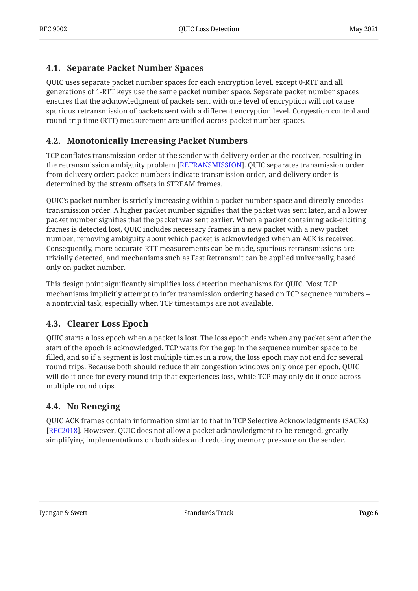### <span id="page-5-0"></span>**[4.1. Separate Packet Number Spaces](#page-5-0)**

QUIC uses separate packet number spaces for each encryption level, except 0-RTT and all generations of 1-RTT keys use the same packet number space. Separate packet number spaces ensures that the acknowledgment of packets sent with one level of encryption will not cause spurious retransmission of packets sent with a different encryption level. Congestion control and round-trip time (RTT) measurement are unified across packet number spaces.

### <span id="page-5-1"></span>**[4.2. Monotonically Increasing Packet Numbers](#page-5-1)**

TCP conflates transmission order at the sender with delivery order at the receiver, resulting in the retransmission ambiguity problem [RETRANSMISSION]. QUIC separates transmission order from delivery order: packet numbers indicate transmission order, and delivery order is determined by the stream offsets in STREAM frames.

QUIC's packet number is strictly increasing within a packet number space and directly encodes transmission order. A higher packet number signifies that the packet was sent later, and a lower packet number signifies that the packet was sent earlier. When a packet containing ack-eliciting frames is detected lost, QUIC includes necessary frames in a new packet with a new packet number, removing ambiguity about which packet is acknowledged when an ACK is received. Consequently, more accurate RTT measurements can be made, spurious retransmissions are trivially detected, and mechanisms such as Fast Retransmit can be applied universally, based only on packet number.

This design point significantly simplifies loss detection mechanisms for QUIC. Most TCP mechanisms implicitly attempt to infer transmission ordering based on TCP sequence numbers - a nontrivial task, especially when TCP timestamps are not available.

### <span id="page-5-2"></span>**[4.3. Clearer Loss Epoch](#page-5-2)**

QUIC starts a loss epoch when a packet is lost. The loss epoch ends when any packet sent after the start of the epoch is acknowledged. TCP waits for the gap in the sequence number space to be filled, and so if a segment is lost multiple times in a row, the loss epoch may not end for several round trips. Because both should reduce their congestion windows only once per epoch, QUIC will do it once for every round trip that experiences loss, while TCP may only do it once across multiple round trips.

### <span id="page-5-3"></span>**[4.4. No Reneging](#page-5-3)**

QUIC ACK frames contain information similar to that in TCP Selective Acknowledgments (SACKs) [[RFC2018\]](#page-25-1). However, QUIC does not allow a packet acknowledgment to be reneged, greatly simplifying implementations on both sides and reducing memory pressure on the sender.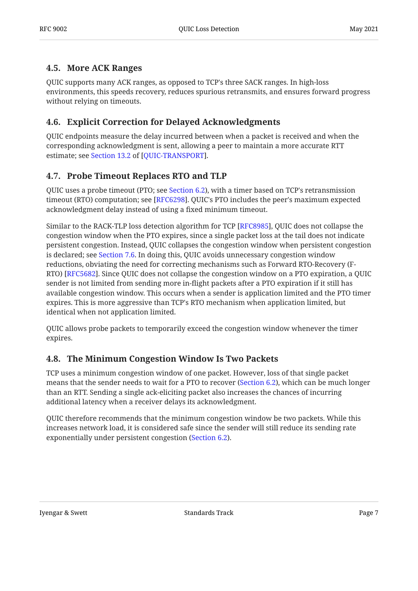### <span id="page-6-0"></span>**[4.5. More ACK Ranges](#page-6-0)**

QUIC supports many ACK ranges, as opposed to TCP's three SACK ranges. In high-loss environments, this speeds recovery, reduces spurious retransmits, and ensures forward progress without relying on timeouts.

### <span id="page-6-1"></span>**[4.6. Explicit Correction for Delayed Acknowledgments](#page-6-1)**

QUIC endpoints measure the delay incurred between when a packet is received and when the corresponding acknowledgment is sent, allowing a peer to maintain a more accurate RTT estimate; see [Section 13.2](https://www.rfc-editor.org/rfc/rfc9000#section-13.2) of [\[QUIC-TRANSPORT](#page-24-3)].

### <span id="page-6-2"></span>**[4.7. Probe Timeout Replaces RTO and TLP](#page-6-2)**

QUIC uses a probe timeout (PTO; see [Section 6.2\)](#page-12-0), with a timer based on TCP's retransmission timeout (RTO) computation; see [\[RFC6298](#page-25-2)]. QUIC's PTO includes the peer's maximum expected acknowledgment delay instead of using a fixed minimum timeout.

Similar to the RACK-TLP loss detection algorithm for TCP [RFC8985], QUIC does not collapse the congestion window when the PTO expires, since a single packet loss at the tail does not indicate persistent congestion. Instead, QUIC collapses the congestion window when persistent congestion is declared; see [Section 7.6.](#page-19-3) In doing this, QUIC avoids unnecessary congestion window reductions, obviating the need for correcting mechanisms such as Forward RTO-Recovery (F-RTO) [RFC5682]. Since QUIC does not collapse the congestion window on a PTO expiration, a QUIC sender is not limited from sending more in-flight packets after a PTO expiration if it still has available congestion window. This occurs when a sender is application limited and the PTO timer expires. This is more aggressive than TCP's RTO mechanism when application limited, but identical when not application limited.

QUIC allows probe packets to temporarily exceed the congestion window whenever the timer expires.

### <span id="page-6-3"></span>**[4.8. The Minimum Congestion Window Is Two Packets](#page-6-3)**

TCP uses a minimum congestion window of one packet. However, loss of that single packet means that the sender needs to wait for a PTO to recover ([Section 6.2\)](#page-12-0), which can be much longer than an RTT. Sending a single ack-eliciting packet also increases the chances of incurring additional latency when a receiver delays its acknowledgment.

QUIC therefore recommends that the minimum congestion window be two packets. While this increases network load, it is considered safe since the sender will still reduce its sending rate exponentially under persistent congestion ([Section 6.2\)](#page-12-0).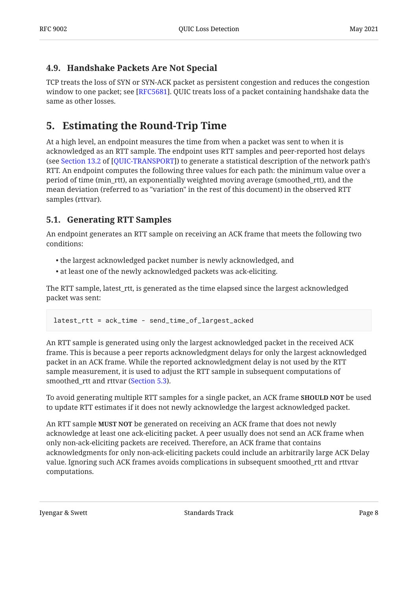### <span id="page-7-0"></span>**[4.9. Handshake Packets Are Not Special](#page-7-0)**

TCP treats the loss of SYN or SYN-ACK packet as persistent congestion and reduces the congestion window to one packet; see [RFC5681]. QUIC treats loss of a packet containing handshake data the same as other losses.

# <span id="page-7-1"></span>**[5. Estimating the Round-Trip Time](#page-7-1)**

At a high level, an endpoint measures the time from when a packet was sent to when it is acknowledged as an RTT sample. The endpoint uses RTT samples and peer-reported host delays (seeSection 13.2 of [QUIC-TRANSPORT]) to generate a statistical description of the network path's RTT. An endpoint computes the following three values for each path: the minimum value over a period of time (min\_rtt), an exponentially weighted moving average (smoothed\_rtt), and the mean deviation (referred to as "variation" in the rest of this document) in the observed RTT samples (rttvar).

### <span id="page-7-2"></span>**[5.1. Generating RTT Samples](#page-7-2)**

An endpoint generates an RTT sample on receiving an ACK frame that meets the following two conditions:

- the largest acknowledged packet number is newly acknowledged, and •
- at least one of the newly acknowledged packets was ack-eliciting. •

The RTT sample, latest\_rtt, is generated as the time elapsed since the largest acknowledged packet was sent:

latest\_rtt = ack\_time - send\_time\_of\_largest\_acked

An RTT sample is generated using only the largest acknowledged packet in the received ACK frame. This is because a peer reports acknowledgment delays for only the largest acknowledged packet in an ACK frame. While the reported acknowledgment delay is not used by the RTT sample measurement, it is used to adjust the RTT sample in subsequent computations of smoothed\_rtt and rttvar [\(Section 5.3](#page-8-1)).

To avoid generating multiple RTT samples for a single packet, an ACK frame **SHOULD NOT** be used to update RTT estimates if it does not newly acknowledge the largest acknowledged packet.

An RTT sample **MUST NOT** be generated on receiving an ACK frame that does not newly acknowledge at least one ack-eliciting packet. A peer usually does not send an ACK frame when only non-ack-eliciting packets are received. Therefore, an ACK frame that contains acknowledgments for only non-ack-eliciting packets could include an arbitrarily large ACK Delay value. Ignoring such ACK frames avoids complications in subsequent smoothed\_rtt and rttvar computations.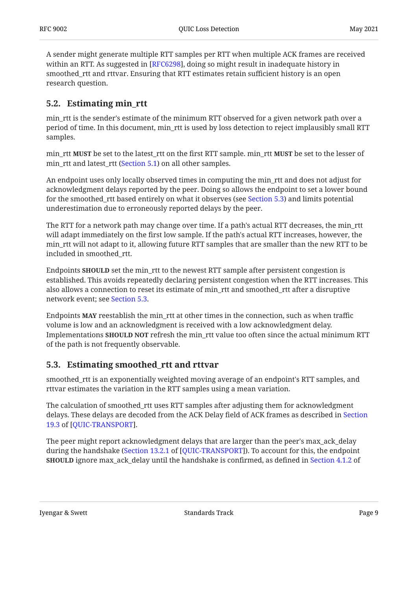A sender might generate multiple RTT samples per RTT when multiple ACK frames are received within an RTT. As suggested in [RFC6298], doing so might result in inadequate history in smoothed\_rtt and rttvar. Ensuring that RTT estimates retain sufficient history is an open research question.

### <span id="page-8-0"></span>**[5.2. Estimating min\\_rtt](#page-8-0)**

min\_rtt is the sender's estimate of the minimum RTT observed for a given network path over a period of time. In this document, min\_rtt is used by loss detection to reject implausibly small RTT samples.

min\_rtt **MUST** be set to the latest\_rtt on the first RTT sample. min\_rtt **MUST** be set to the lesser of min\_rtt and latest\_rtt ([Section 5.1\)](#page-7-2) on all other samples.

An endpoint uses only locally observed times in computing the min\_rtt and does not adjust for acknowledgment delays reported by the peer. Doing so allows the endpoint to set a lower bound for the smoothed\_rtt based entirely on what it observes (see [Section 5.3](#page-8-1)) and limits potential underestimation due to erroneously reported delays by the peer.

The RTT for a network path may change over time. If a path's actual RTT decreases, the min\_rtt will adapt immediately on the first low sample. If the path's actual RTT increases, however, the min\_rtt will not adapt to it, allowing future RTT samples that are smaller than the new RTT to be included in smoothed\_rtt.

Endpoints **SHOULD** set the min\_rtt to the newest RTT sample after persistent congestion is established. This avoids repeatedly declaring persistent congestion when the RTT increases. This also allows a connection to reset its estimate of min\_rtt and smoothed\_rtt after a disruptive network event; see [Section 5.3.](#page-8-1)

Endpoints **MAY** reestablish the min\_rtt at other times in the connection, such as when traffic volume is low and an acknowledgment is received with a low acknowledgment delay. Implementations **SHOULD NOT** refresh the min\_rtt value too often since the actual minimum RTT of the path is not frequently observable.

## <span id="page-8-1"></span>**[5.3. Estimating smoothed\\_rtt and rttvar](#page-8-1)**

smoothed\_rtt is an exponentially weighted moving average of an endpoint's RTT samples, and rttvar estimates the variation in the RTT samples using a mean variation.

The calculation of smoothed\_rtt uses RTT samples after adjusting them for acknowledgment delays. These delays are decoded from the ACK Delay field of ACK frames as described in [Section](https://www.rfc-editor.org/rfc/rfc9000#section-19.3) . [19.3](https://www.rfc-editor.org/rfc/rfc9000#section-19.3) of [\[QUIC-TRANSPORT](#page-24-3)]

The peer might report acknowledgment delays that are larger than the peer's max\_ack\_delay during the handshake ([Section 13.2.1](https://www.rfc-editor.org/rfc/rfc9000#section-13.2.1) of [[QUIC-TRANSPORT\]](#page-24-3)). To account for this, the endpoint **SHOULD** ignore max\_ack\_delay until the handshake is confirmed, as defined in [Section 4.1.2](https://www.rfc-editor.org/rfc/rfc9001#section-4.1.2) of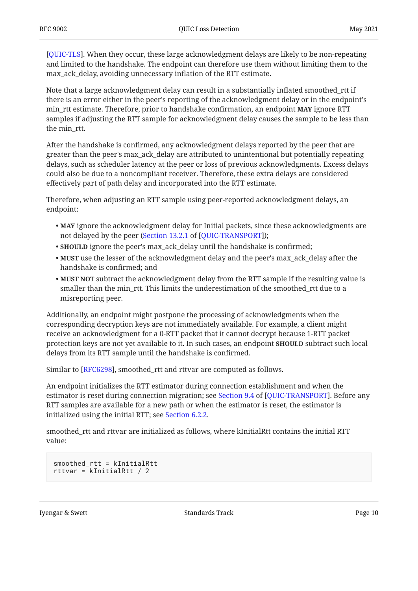[[QUIC-TLS\]](#page-24-6). When they occur, these large acknowledgment delays are likely to be non-repeating and limited to the handshake. The endpoint can therefore use them without limiting them to the max\_ack\_delay, avoiding unnecessary inflation of the RTT estimate.

Note that a large acknowledgment delay can result in a substantially inflated smoothed\_rtt if there is an error either in the peer's reporting of the acknowledgment delay or in the endpoint's min\_rtt estimate. Therefore, prior to handshake confirmation, an endpoint **MAY** ignore RTT samples if adjusting the RTT sample for acknowledgment delay causes the sample to be less than the min\_rtt.

After the handshake is confirmed, any acknowledgment delays reported by the peer that are greater than the peer's max\_ack\_delay are attributed to unintentional but potentially repeating delays, such as scheduler latency at the peer or loss of previous acknowledgments. Excess delays could also be due to a noncompliant receiver. Therefore, these extra delays are considered effectively part of path delay and incorporated into the RTT estimate.

Therefore, when adjusting an RTT sample using peer-reported acknowledgment delays, an endpoint:

- **MAY** ignore the acknowledgment delay for Initial packets, since these acknowledgments are not delayed by the peer ([Section 13.2.1](https://www.rfc-editor.org/rfc/rfc9000#section-13.2.1) of [\[QUIC-TRANSPORT](#page-24-3)]);
- **SHOULD** ignore the peer's max\_ack\_delay until the handshake is confirmed;
- **MUST** use the lesser of the acknowledgment delay and the peer's max\_ack\_delay after the handshake is confirmed; and
- $\bullet$  **MUST NOT** subtract the acknowledgment delay from the RTT sample if the resulting value is smaller than the min\_rtt. This limits the underestimation of the smoothed\_rtt due to a misreporting peer.

Additionally, an endpoint might postpone the processing of acknowledgments when the corresponding decryption keys are not immediately available. For example, a client might receive an acknowledgment for a 0-RTT packet that it cannot decrypt because 1-RTT packet protection keys are not yet available to it. In such cases, an endpoint **SHOULD** subtract such local delays from its RTT sample until the handshake is confirmed.

Similar to [RFC6298], smoothed\_rtt and rttvar are computed as follows.

An endpoint initializes the RTT estimator during connection establishment and when the estimatoris reset during connection migration; see Section 9.4 of [QUIC-TRANSPORT]. Before any RTT samples are available for a new path or when the estimator is reset, the estimator is initialized using the initial RTT; see [Section 6.2.2.](#page-13-0)

smoothed\_rtt and rttvar are initialized as follows, where kInitialRtt contains the initial RTT value:

```
smoothed_rtt = kInitialRtt
rttvar = kInitialRtt / 2
```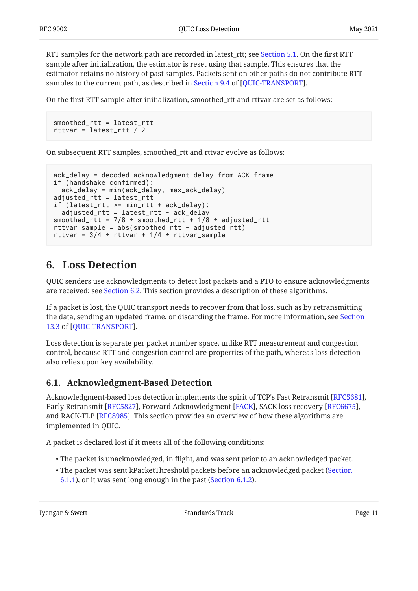RTT samples for the network path are recorded in latest\_rtt; see [Section 5.1.](#page-7-2) On the first RTT sample after initialization, the estimator is reset using that sample. This ensures that the estimator retains no history of past samples. Packets sent on other paths do not contribute RTT samplesto the current path, as described in Section 9.4 of [QUIC-TRANSPORT].

On the first RTT sample after initialization, smoothed\_rtt and rttvar are set as follows:

```
smoothed_rtt = latest_rtt
rttvar = latest_rtt / 2
```
On subsequent RTT samples, smoothed\_rtt and rttvar evolve as follows:

```
ack_delay = decoded acknowledgment delay from ACK frame
if (handshake confirmed):
   ack_delay = min(ack_delay, max_ack_delay)
adjusted_rtt = latest_rtt
if (latest_rtt >= min_rtt + ack_delay):
   adjusted_rtt = latest_rtt - ack_delay
smoothed_rtt = 7/8 * smoothed_rtt + 1/8 * adjusted_rtt
rttvar_sample = abs(smoothed_rtt - adjusted_rtt)
rttvar = 3/4 * rttvar + 1/4 * rttvar_sample
```
## <span id="page-10-0"></span>**[6. Loss Detection](#page-10-0)**

QUIC senders use acknowledgments to detect lost packets and a PTO to ensure acknowledgments are received; see [Section 6.2](#page-12-0). This section provides a description of these algorithms.

If a packet is lost, the QUIC transport needs to recover from that loss, such as by retransmitting the data, sending an updated frame, or discarding the frame. For more information, see [Section](https://www.rfc-editor.org/rfc/rfc9000#section-13.3) . [13.3](https://www.rfc-editor.org/rfc/rfc9000#section-13.3) of [\[QUIC-TRANSPORT](#page-24-3)]

Loss detection is separate per packet number space, unlike RTT measurement and congestion control, because RTT and congestion control are properties of the path, whereas loss detection also relies upon key availability.

### <span id="page-10-1"></span>**[6.1. Acknowledgment-Based Detection](#page-10-1)**

Acknowledgment-based loss detection implements the spirit of TCP's Fast Retransmit [[RFC5681\]](#page-25-4), Early Retransmit [[RFC5827\]](#page-25-5), Forward Acknowledgment [FACK], SACK loss recovery [RFC6675], and RACK-TLP [RFC8985]. This section provides an overview of how these algorithms are implemented in QUIC.

A packet is declared lost if it meets all of the following conditions:

- The packet is unacknowledged, in flight, and was sent prior to an acknowledged packet. •
- The packet was sent kPacketThreshold packets before an acknowledged packet [\(Section](#page-11-0) [6.1.1\)](#page-11-0), or it was sent long enough in the past ([Section 6.1.2\)](#page-11-1).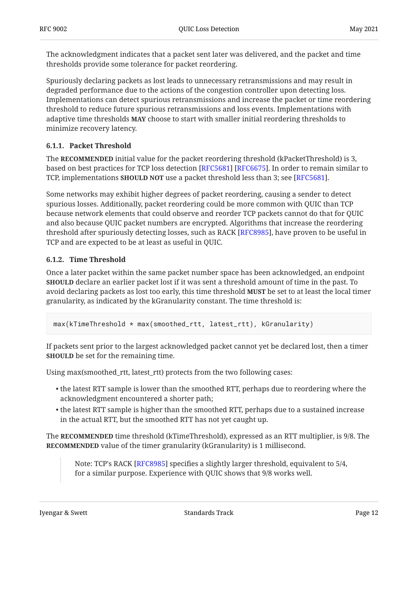The acknowledgment indicates that a packet sent later was delivered, and the packet and time thresholds provide some tolerance for packet reordering.

Spuriously declaring packets as lost leads to unnecessary retransmissions and may result in degraded performance due to the actions of the congestion controller upon detecting loss. Implementations can detect spurious retransmissions and increase the packet or time reordering threshold to reduce future spurious retransmissions and loss events. Implementations with adaptive time thresholds MAY choose to start with smaller initial reordering thresholds to minimize recovery latency.

#### <span id="page-11-0"></span>**[6.1.1. Packet Threshold](#page-11-0)**

The **RECOMMENDED** initial value for the packet reordering threshold (kPacketThreshold) is 3, based on best practices for TCP loss detection [RFC5681] [RFC6675]. In order to remain similar to TCP, implementations **SHOULD NOT** use a packet threshold less than 3; see [RFC5681].

Some networks may exhibit higher degrees of packet reordering, causing a sender to detect spurious losses. Additionally, packet reordering could be more common with QUIC than TCP because network elements that could observe and reorder TCP packets cannot do that for QUIC and also because QUIC packet numbers are encrypted. Algorithms that increase the reordering threshold after spuriously detecting losses, such as RACK [\[RFC8985](#page-26-3)], have proven to be useful in TCP and are expected to be at least as useful in QUIC.

#### <span id="page-11-1"></span>**[6.1.2. Time Threshold](#page-11-1)**

Once a later packet within the same packet number space has been acknowledged, an endpoint **SHOULD** declare an earlier packet lost if it was sent a threshold amount of time in the past. To avoid declaring packets as lost too early, this time threshold **MUST** be set to at least the local timer granularity, as indicated by the kGranularity constant. The time threshold is:

max(kTimeThreshold \* max(smoothed\_rtt, latest\_rtt), kGranularity)

If packets sent prior to the largest acknowledged packet cannot yet be declared lost, then a timer **SHOULD** be set for the remaining time.

Using max(smoothed\_rtt, latest\_rtt) protects from the two following cases:

- $\bullet$  the latest RTT sample is lower than the smoothed RTT, perhaps due to reordering where the acknowledgment encountered a shorter path;
- $\bullet$  the latest RTT sample is higher than the smoothed RTT, perhaps due to a sustained increase in the actual RTT, but the smoothed RTT has not yet caught up.

The RECOMMENDED time threshold (kTimeThreshold), expressed as an RTT multiplier, is 9/8. The **RECOMMENDED** value of the timer granularity (kGranularity) is 1 millisecond.

Note: TCP's RACK [RFC8985] specifies a slightly larger threshold, equivalent to 5/4, for a similar purpose. Experience with QUIC shows that 9/8 works well.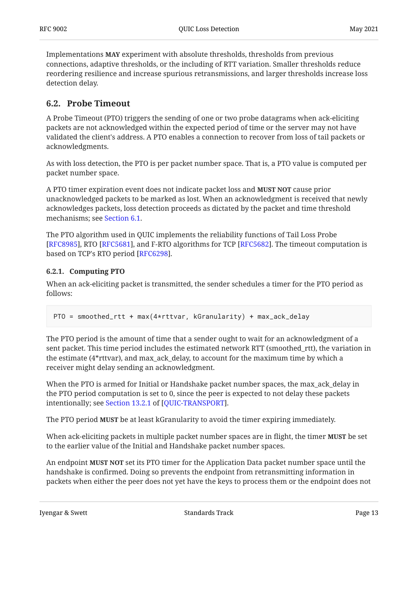Implementations MAY experiment with absolute thresholds, thresholds from previous connections, adaptive thresholds, or the including of RTT variation. Smaller thresholds reduce reordering resilience and increase spurious retransmissions, and larger thresholds increase loss detection delay.

### <span id="page-12-0"></span>**[6.2. Probe Timeout](#page-12-0)**

A Probe Timeout (PTO) triggers the sending of one or two probe datagrams when ack-eliciting packets are not acknowledged within the expected period of time or the server may not have validated the client's address. A PTO enables a connection to recover from loss of tail packets or acknowledgments.

As with loss detection, the PTO is per packet number space. That is, a PTO value is computed per packet number space.

A PTO timer expiration event does not indicate packet loss and **MUST NOT** cause prior unacknowledged packets to be marked as lost. When an acknowledgment is received that newly acknowledges packets, loss detection proceeds as dictated by the packet and time threshold mechanisms; see [Section 6.1.](#page-10-1)

The PTO algorithm used in QUIC implements the reliability functions of Tail Loss Probe [[RFC8985\]](#page-26-3), RTO [RFC5681], and F-RTO algorithms for TCP [RFC5682]. The timeout computation is based on TCP's RTO period [RFC6298].

#### <span id="page-12-1"></span>**[6.2.1. Computing PTO](#page-12-1)**

When an ack-eliciting packet is transmitted, the sender schedules a timer for the PTO period as follows:

```
PTO = smoothed_rtt + max(4*rttvar, kGranularity) + max_ack_delay
```
The PTO period is the amount of time that a sender ought to wait for an acknowledgment of a sent packet. This time period includes the estimated network RTT (smoothed\_rtt), the variation in the estimate (4\*rttvar), and max\_ack\_delay, to account for the maximum time by which a receiver might delay sending an acknowledgment.

When the PTO is armed for Initial or Handshake packet number spaces, the max\_ack\_delay in the PTO period computation is set to 0, since the peer is expected to not delay these packets intentionally; see Section 13.2.1 of [QUIC-TRANSPORT].

The PTO period **MUST** be at least kGranularity to avoid the timer expiring immediately.

When ack-eliciting packets in multiple packet number spaces are in flight, the timer **MUST** be set to the earlier value of the Initial and Handshake packet number spaces.

An endpoint **MUST NOT** set its PTO timer for the Application Data packet number space until the handshake is confirmed. Doing so prevents the endpoint from retransmitting information in packets when either the peer does not yet have the keys to process them or the endpoint does not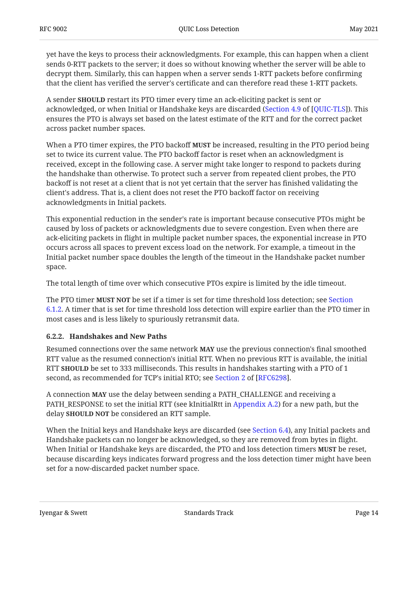yet have the keys to process their acknowledgments. For example, this can happen when a client sends 0-RTT packets to the server; it does so without knowing whether the server will be able to decrypt them. Similarly, this can happen when a server sends 1-RTT packets before confirming that the client has verified the server's certificate and can therefore read these 1-RTT packets.

A sender **SHOULD** restart its PTO timer every time an ack-eliciting packet is sent or acknowledged, or when Initial or Handshake keys are discarded ([Section 4.9](https://www.rfc-editor.org/rfc/rfc9001#section-4.9) of [[QUIC-TLS](#page-24-6)]). This ensures the PTO is always set based on the latest estimate of the RTT and for the correct packet across packet number spaces.

When a PTO timer expires, the PTO backoff **MUST** be increased, resulting in the PTO period being set to twice its current value. The PTO backoff factor is reset when an acknowledgment is received, except in the following case. A server might take longer to respond to packets during the handshake than otherwise. To protect such a server from repeated client probes, the PTO backoff is not reset at a client that is not yet certain that the server has finished validating the client's address. That is, a client does not reset the PTO backoff factor on receiving acknowledgments in Initial packets.

This exponential reduction in the sender's rate is important because consecutive PTOs might be caused by loss of packets or acknowledgments due to severe congestion. Even when there are ack-eliciting packets in flight in multiple packet number spaces, the exponential increase in PTO occurs across all spaces to prevent excess load on the network. For example, a timeout in the Initial packet number space doubles the length of the timeout in the Handshake packet number space.

The total length of time over which consecutive PTOs expire is limited by the idle timeout.

The PTO timer **MUST NOT** be set if a timer is set for time threshold loss detection; see [Section](#page-11-1) [6.1.2.](#page-11-1) A timer that is set for time threshold loss detection will expire earlier than the PTO timer in most cases and is less likely to spuriously retransmit data.

#### <span id="page-13-0"></span>**[6.2.2. Handshakes and New Paths](#page-13-0)**

Resumed connections over the same network **MAY** use the previous connection's final smoothed RTT value as the resumed connection's initial RTT. When no previous RTT is available, the initial RTT SHOULD be set to 333 milliseconds. This results in handshakes starting with a PTO of 1 second, as recommended for TCP's initial RTO; see Section 2 of [RFC6298].

A connection **MAY** use the delay between sending a PATH\_CHALLENGE and receiving a PATH\_RESPONSE to set the initial RTT (see kInitialRtt in [Appendix A.2](#page-27-0)) for a new path, but the delay **SHOULD NOT** be considered an RTT sample.

When the Initial keys and Handshake keys are discarded (see [Section 6.4\)](#page-16-0), any Initial packets and Handshake packets can no longer be acknowledged, so they are removed from bytes in flight. When Initial or Handshake keys are discarded, the PTO and loss detection timers **MUST** be reset, because discarding keys indicates forward progress and the loss detection timer might have been set for a now-discarded packet number space.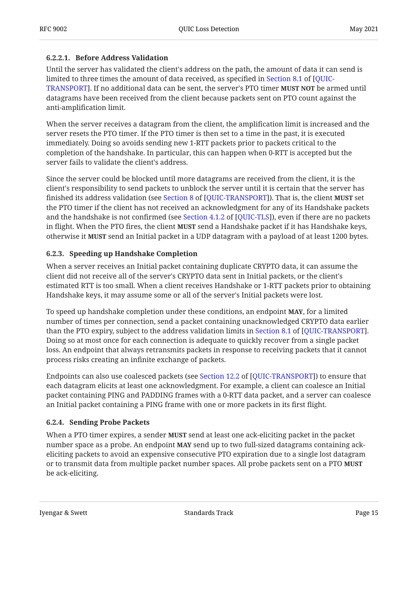#### <span id="page-14-2"></span>**[6.2.2.1. Before Address Validation](#page-14-2)**

Until the server has validated the client's address on the path, the amount of data it can send is limited to three times the amount of data received, as specified in [Section 8.1](https://www.rfc-editor.org/rfc/rfc9000#section-8.1) of [[QUIC-](#page-24-3)[TRANSPORT\]](#page-24-3). If no additional data can be sent, the server's PTO timer **MUST NOT** be armed until datagrams have been received from the client because packets sent on PTO count against the anti-amplification limit.

When the server receives a datagram from the client, the amplification limit is increased and the server resets the PTO timer. If the PTO timer is then set to a time in the past, it is executed immediately. Doing so avoids sending new 1-RTT packets prior to packets critical to the completion of the handshake. In particular, this can happen when 0-RTT is accepted but the server fails to validate the client's address.

Since the server could be blocked until more datagrams are received from the client, it is the client's responsibility to send packets to unblock the server until it is certain that the server has finished its address validation (see Section 8 of [QUIC-TRANSPORT]). That is, the client **MUST** set the PTO timer if the client has not received an acknowledgment for any of its Handshake packets andthe handshake is not confirmed (see Section  $4.1.2$  of [QUIC-TLS]), even if there are no packets in flight. When the PTO fires, the client **MUST** send a Handshake packet if it has Handshake keys, otherwise it **MUST** send an Initial packet in a UDP datagram with a payload of at least 1200 bytes.

#### <span id="page-14-0"></span>**[6.2.3. Speeding up Handshake Completion](#page-14-0)**

When a server receives an Initial packet containing duplicate CRYPTO data, it can assume the client did not receive all of the server's CRYPTO data sent in Initial packets, or the client's estimated RTT is too small. When a client receives Handshake or 1-RTT packets prior to obtaining Handshake keys, it may assume some or all of the server's Initial packets were lost.

To speed up handshake completion under these conditions, an endpoint **MAY**, for a limited number of times per connection, send a packet containing unacknowledged CRYPTO data earlier than the PTO expiry, subject to the address validation limits in Section 8.1 of [QUIC-TRANSPORT]. Doing so at most once for each connection is adequate to quickly recover from a single packet loss. An endpoint that always retransmits packets in response to receiving packets that it cannot process risks creating an infinite exchange of packets.

Endpoints can also use coalesced packets (see Section 12.2 of [QUIC-TRANSPORT]) to ensure that each datagram elicits at least one acknowledgment. For example, a client can coalesce an Initial packet containing PING and PADDING frames with a 0-RTT data packet, and a server can coalesce an Initial packet containing a PING frame with one or more packets in its first flight.

#### <span id="page-14-1"></span>**[6.2.4. Sending Probe Packets](#page-14-1)**

When a PTO timer expires, a sender **MUST** send at least one ack-eliciting packet in the packet number space as a probe. An endpoint **MAY** send up to two full-sized datagrams containing ackeliciting packets to avoid an expensive consecutive PTO expiration due to a single lost datagram or to transmit data from multiple packet number spaces. All probe packets sent on a PTO **MUST** be ack-eliciting.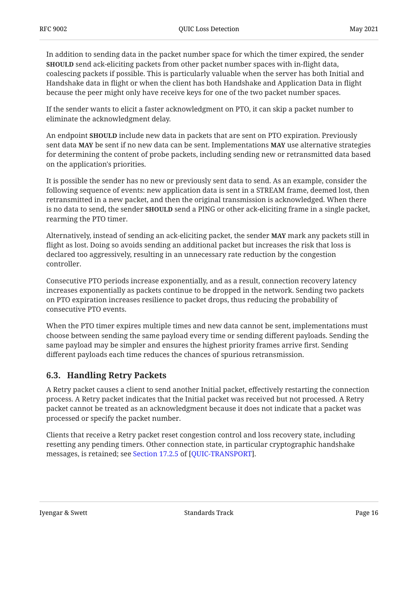In addition to sending data in the packet number space for which the timer expired, the sender **SHOULD** send ack-eliciting packets from other packet number spaces with in-flight data, coalescing packets if possible. This is particularly valuable when the server has both Initial and Handshake data in flight or when the client has both Handshake and Application Data in flight because the peer might only have receive keys for one of the two packet number spaces.

If the sender wants to elicit a faster acknowledgment on PTO, it can skip a packet number to eliminate the acknowledgment delay.

An endpoint **SHOULD** include new data in packets that are sent on PTO expiration. Previously  $\boldsymbol{\delta}$  sent data **MAY** be sent if no new data can be sent. Implementations **MAY** use alternative strategies for determining the content of probe packets, including sending new or retransmitted data based on the application's priorities.

It is possible the sender has no new or previously sent data to send. As an example, consider the following sequence of events: new application data is sent in a STREAM frame, deemed lost, then retransmitted in a new packet, and then the original transmission is acknowledged. When there is no data to send, the sender **SHOULD** send a PING or other ack-eliciting frame in a single packet, rearming the PTO timer.

Alternatively, instead of sending an ack-eliciting packet, the sender mark any packets still in **MAY** flight as lost. Doing so avoids sending an additional packet but increases the risk that loss is declared too aggressively, resulting in an unnecessary rate reduction by the congestion controller.

Consecutive PTO periods increase exponentially, and as a result, connection recovery latency increases exponentially as packets continue to be dropped in the network. Sending two packets on PTO expiration increases resilience to packet drops, thus reducing the probability of consecutive PTO events.

When the PTO timer expires multiple times and new data cannot be sent, implementations must choose between sending the same payload every time or sending different payloads. Sending the same payload may be simpler and ensures the highest priority frames arrive first. Sending different payloads each time reduces the chances of spurious retransmission.

### <span id="page-15-0"></span>**[6.3. Handling Retry Packets](#page-15-0)**

A Retry packet causes a client to send another Initial packet, effectively restarting the connection process. A Retry packet indicates that the Initial packet was received but not processed. A Retry packet cannot be treated as an acknowledgment because it does not indicate that a packet was processed or specify the packet number.

Clients that receive a Retry packet reset congestion control and loss recovery state, including resetting any pending timers. Other connection state, in particular cryptographic handshake messages, is retained; see [Section 17.2.5](https://www.rfc-editor.org/rfc/rfc9000#section-17.2.5) of [\[QUIC-TRANSPORT](#page-24-3)].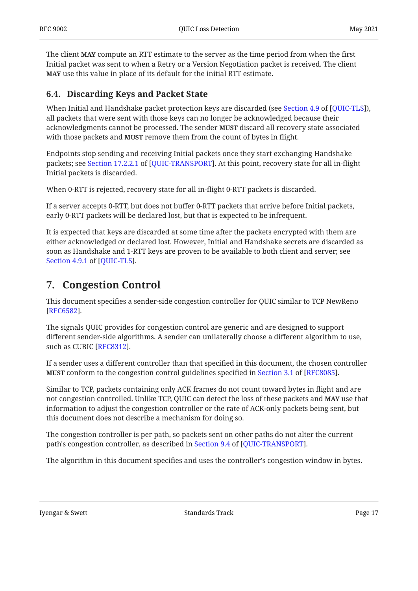The client **MAY** compute an RTT estimate to the server as the time period from when the first Initial packet was sent to when a Retry or a Version Negotiation packet is received. The client **MAY** use this value in place of its default for the initial RTT estimate.

### <span id="page-16-0"></span>**[6.4. Discarding Keys and Packet State](#page-16-0)**

When Initial and Handshake packet protection keys are discarded (see Section 4.9 of [QUIC-TLS]), all packets that were sent with those keys can no longer be acknowledged because their acknowledgments cannot be processed. The sender **MUST** discard all recovery state associated with those packets and **MUST** remove them from the count of bytes in flight.

Endpoints stop sending and receiving Initial packets once they start exchanging Handshake packets; see Section 17.2.2.1 of [QUIC-TRANSPORT]. At this point, recovery state for all in-flight Initial packets is discarded.

When 0-RTT is rejected, recovery state for all in-flight 0-RTT packets is discarded.

If a server accepts 0-RTT, but does not buffer 0-RTT packets that arrive before Initial packets, early 0-RTT packets will be declared lost, but that is expected to be infrequent.

It is expected that keys are discarded at some time after the packets encrypted with them are either acknowledged or declared lost. However, Initial and Handshake secrets are discarded as soon as Handshake and 1-RTT keys are proven to be available to both client and server; see . [Section 4.9.1](https://www.rfc-editor.org/rfc/rfc9001#section-4.9.1) of [\[QUIC-TLS](#page-24-6)]

## <span id="page-16-1"></span>**[7. Congestion Control](#page-16-1)**

This document specifies a sender-side congestion controller for QUIC similar to TCP NewReno . [[RFC6582\]](#page-25-7)

The signals QUIC provides for congestion control are generic and are designed to support different sender-side algorithms. A sender can unilaterally choose a different algorithm to use, such as CUBIC [RFC8312].

If a sender uses a different controller than that specified in this document, the chosen controller **MUST**conform to the congestion control guidelines specified in Section 3.1 of [RFC8085].

Similar to TCP, packets containing only ACK frames do not count toward bytes in flight and are not congestion controlled. Unlike TCP, QUIC can detect the loss of these packets and **MAY** use that information to adjust the congestion controller or the rate of ACK-only packets being sent, but this document does not describe a mechanism for doing so.

The congestion controller is per path, so packets sent on other paths do not alter the current path's congestion controller, as described in Section 9.4 of [QUIC-TRANSPORT].

The algorithm in this document specifies and uses the controller's congestion window in bytes.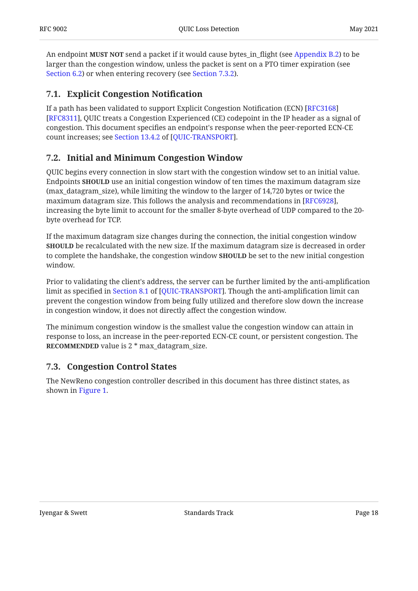An endpoint **MUST NOT** send a packet if it would cause bytes\_in\_flight (see [Appendix B.2](#page-37-2)) to be larger than the congestion window, unless the packet is sent on a PTO timer expiration (see [Section 6.2\)](#page-12-0) or when entering recovery (see [Section 7.3.2](#page-18-1)).

## <span id="page-17-0"></span>**[7.1. Explicit Congestion Noti](#page-17-0)fication**

If a path has been validated to support Explicit Congestion Notification (ECN) [[RFC3168\]](#page-24-9) [[RFC8311\]](#page-26-5), QUIC treats a Congestion Experienced (CE) codepoint in the IP header as a signal of congestion. This document specifies an endpoint's response when the peer-reported ECN-CE countincreases; see Section 13.4.2 of [QUIC-TRANSPORT].

### <span id="page-17-1"></span>**[7.2. Initial and Minimum Congestion Window](#page-17-1)**

QUIC begins every connection in slow start with the congestion window set to an initial value. Endpoints **SHOULD** use an initial congestion window of ten times the maximum datagram size (max\_datagram\_size), while limiting the window to the larger of 14,720 bytes or twice the maximum datagram size. This follows the analysis and recommendations in  $[\mathrm{RFC}6928]$ , increasing the byte limit to account for the smaller 8-byte overhead of UDP compared to the 20 byte overhead for TCP.

If the maximum datagram size changes during the connection, the initial congestion window **SHOULD** be recalculated with the new size. If the maximum datagram size is decreased in order to complete the handshake, the congestion window **SHOULD** be set to the new initial congestion window.

Prior to validating the client's address, the server can be further limited by the anti-amplification limit as specified in Section 8.1 of [QUIC-TRANSPORT]. Though the anti-amplification limit can prevent the congestion window from being fully utilized and therefore slow down the increase in congestion window, it does not directly affect the congestion window.

The minimum congestion window is the smallest value the congestion window can attain in response to loss, an increase in the peer-reported ECN-CE count, or persistent congestion. The **RECOMMENDED** value is 2  $*$  max\_datagram\_size.

### <span id="page-17-2"></span>**[7.3. Congestion Control States](#page-17-2)**

The NewReno congestion controller described in this document has three distinct states, as shown in [Figure 1](#page-18-2).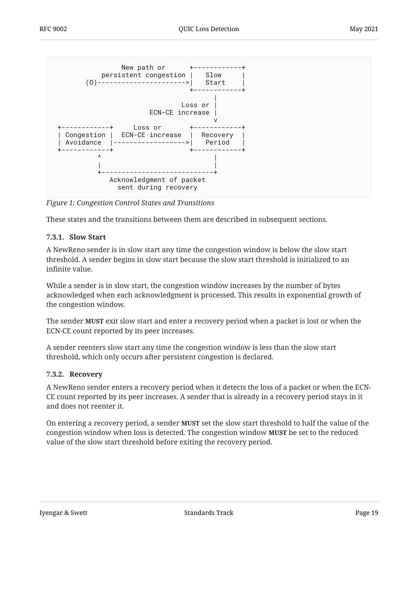<span id="page-18-2"></span>

*[Figure 1: Congestion Control States and Transitions](#page-18-2)* 

<span id="page-18-0"></span>These states and the transitions between them are described in subsequent sections.

#### **[7.3.1. Slow Start](#page-18-0)**

A NewReno sender is in slow start any time the congestion window is below the slow start threshold. A sender begins in slow start because the slow start threshold is initialized to an infinite value.

While a sender is in slow start, the congestion window increases by the number of bytes acknowledged when each acknowledgment is processed. This results in exponential growth of the congestion window.

The sender **MUST** exit slow start and enter a recovery period when a packet is lost or when the ECN-CE count reported by its peer increases.

A sender reenters slow start any time the congestion window is less than the slow start threshold, which only occurs after persistent congestion is declared.

#### <span id="page-18-1"></span>**[7.3.2. Recovery](#page-18-1)**

A NewReno sender enters a recovery period when it detects the loss of a packet or when the ECN-CE count reported by its peer increases. A sender that is already in a recovery period stays in it and does not reenter it.

On entering a recovery period, a sender **MUST** set the slow start threshold to half the value of the congestion window when loss is detected. The congestion window **MUST** be set to the reduced value of the slow start threshold before exiting the recovery period.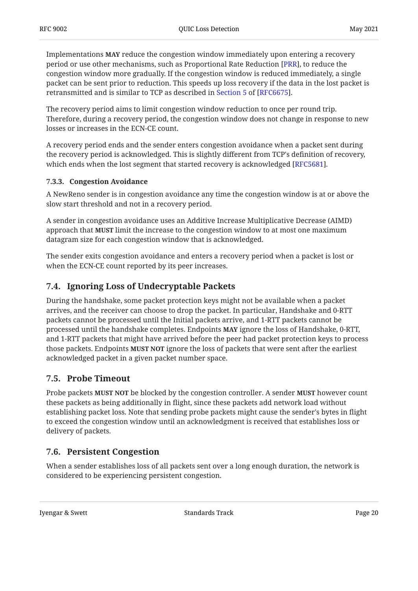Implementations **MAY** reduce the congestion window immediately upon entering a recovery period or use other mechanisms, such as Proportional Rate Reduction [PRR], to reduce the congestion window more gradually. If the congestion window is reduced immediately, a single packet can be sent prior to reduction. This speeds up loss recovery if the data in the lost packet is retransmitted and is similar to TCP as described in Section 5 of [RFC6675].

The recovery period aims to limit congestion window reduction to once per round trip. Therefore, during a recovery period, the congestion window does not change in response to new losses or increases in the ECN-CE count.

A recovery period ends and the sender enters congestion avoidance when a packet sent during the recovery period is acknowledged. This is slightly different from TCP's definition of recovery, which ends when the lost segment that started recovery is acknowledged [RFC5681].  $\,$ 

#### <span id="page-19-0"></span>**[7.3.3. Congestion Avoidance](#page-19-0)**

A NewReno sender is in congestion avoidance any time the congestion window is at or above the slow start threshold and not in a recovery period.

A sender in congestion avoidance uses an Additive Increase Multiplicative Decrease (AIMD) approach that **MUST** limit the increase to the congestion window to at most one maximum datagram size for each congestion window that is acknowledged.

The sender exits congestion avoidance and enters a recovery period when a packet is lost or when the ECN-CE count reported by its peer increases.

### <span id="page-19-1"></span>**[7.4. Ignoring Loss of Undecryptable Packets](#page-19-1)**

During the handshake, some packet protection keys might not be available when a packet arrives, and the receiver can choose to drop the packet. In particular, Handshake and 0-RTT packets cannot be processed until the Initial packets arrive, and 1-RTT packets cannot be processed until the handshake completes. Endpoints **MAY** ignore the loss of Handshake, 0-RTT, and 1-RTT packets that might have arrived before the peer had packet protection keys to process those packets. Endpoints **MUST NOT** ignore the loss of packets that were sent after the earliest acknowledged packet in a given packet number space.

### <span id="page-19-2"></span>**[7.5. Probe Timeout](#page-19-2)**

Probe packets **MUST NOT** be blocked by the congestion controller. A sender **MUST** however count these packets as being additionally in flight, since these packets add network load without establishing packet loss. Note that sending probe packets might cause the sender's bytes in flight to exceed the congestion window until an acknowledgment is received that establishes loss or delivery of packets.

## <span id="page-19-3"></span>**[7.6. Persistent Congestion](#page-19-3)**

When a sender establishes loss of all packets sent over a long enough duration, the network is considered to be experiencing persistent congestion.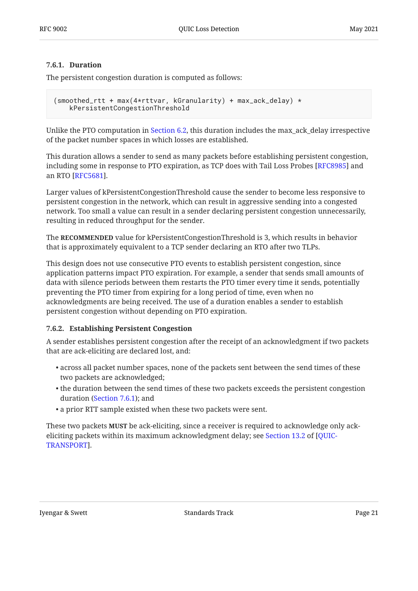#### <span id="page-20-0"></span>**[7.6.1. Duration](#page-20-0)**

The persistent congestion duration is computed as follows:

```
(smoothed_rtt + max(4*rttvar, kGranularity) + max_ack_delay) *
     kPersistentCongestionThreshold
```
Unlike the PTO computation in [Section 6.2,](#page-12-0) this duration includes the max\_ack\_delay irrespective of the packet number spaces in which losses are established.

This duration allows a sender to send as many packets before establishing persistent congestion, including some in response to PTO expiration, as TCP does with Tail Loss Probes [RFC8985] and an RTO [RFC5681].

Larger values of kPersistentCongestionThreshold cause the sender to become less responsive to persistent congestion in the network, which can result in aggressive sending into a congested network. Too small a value can result in a sender declaring persistent congestion unnecessarily, resulting in reduced throughput for the sender.

The RECOMMENDED value for kPersistentCongestionThreshold is 3, which results in behavior that is approximately equivalent to a TCP sender declaring an RTO after two TLPs.

This design does not use consecutive PTO events to establish persistent congestion, since application patterns impact PTO expiration. For example, a sender that sends small amounts of data with silence periods between them restarts the PTO timer every time it sends, potentially preventing the PTO timer from expiring for a long period of time, even when no acknowledgments are being received. The use of a duration enables a sender to establish persistent congestion without depending on PTO expiration.

#### <span id="page-20-1"></span>**[7.6.2. Establishing Persistent Congestion](#page-20-1)**

A sender establishes persistent congestion after the receipt of an acknowledgment if two packets that are ack-eliciting are declared lost, and:

- across all packet number spaces, none of the packets sent between the send times of these two packets are acknowledged;
- $\bullet$  the duration between the send times of these two packets exceeds the persistent congestion duration ([Section 7.6.1\)](#page-20-0); and
- a prior RTT sample existed when these two packets were sent. •

These two packets **MUST** be ack-eliciting, since a receiver is required to acknowledge only ackeliciting packets within its maximum acknowledgment delay; see [Section 13.2](https://www.rfc-editor.org/rfc/rfc9000#section-13.2) of [\[QUIC-](#page-24-3). [TRANSPORT\]](#page-24-3)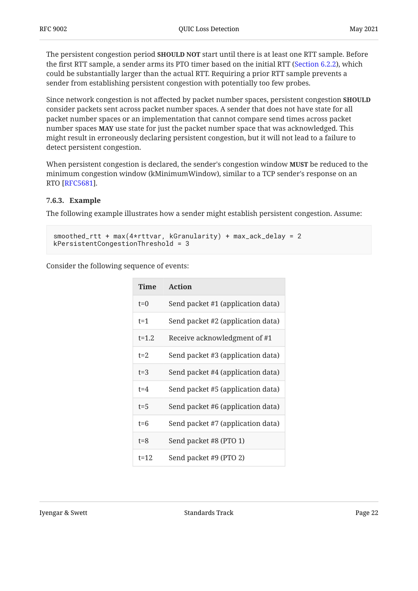The persistent congestion period **SHOULD NOT** start until there is at least one RTT sample. Before the first RTT sample, a sender arms its PTO timer based on the initial RTT ([Section 6.2.2\)](#page-13-0), which could be substantially larger than the actual RTT. Requiring a prior RTT sample prevents a sender from establishing persistent congestion with potentially too few probes.

Since network congestion is not affected by packet number spaces, persistent congestion **SHOULD** consider packets sent across packet number spaces. A sender that does not have state for all packet number spaces or an implementation that cannot compare send times across packet  $\mathbf n$ umber spaces **MAY** use state for just the packet  $\mathbf n$ umber space that was acknowledged. This might result in erroneously declaring persistent congestion, but it will not lead to a failure to detect persistent congestion.

When persistent congestion is declared, the sender's congestion window **MUST** be reduced to the minimum congestion window (kMinimumWindow), similar to a TCP sender's response on an RTO [RFC5681].

#### <span id="page-21-0"></span>**[7.6.3. Example](#page-21-0)**

The following example illustrates how a sender might establish persistent congestion. Assume:

```
smoothed_rtt + max(4*rttvar, kGranularity) + max_ack_delay = 2
kPersistentCongestionThreshold = 3
```
Consider the following sequence of events:

<span id="page-21-1"></span>

| <b>Time</b> | <b>Action</b>                     |
|-------------|-----------------------------------|
| $t=0$       | Send packet #1 (application data) |
| $t = 1$     | Send packet #2 (application data) |
| $t = 1.2$   | Receive acknowledgment of #1      |
| $t = 2$     | Send packet #3 (application data) |
| $t = 3$     | Send packet #4 (application data) |
| $t = 4$     | Send packet #5 (application data) |
| $t = 5$     | Send packet #6 (application data) |
| $t = 6$     | Send packet #7 (application data) |
| $t = 8$     | Send packet #8 (PTO 1)            |
| $t=12$      | Send packet #9 (PTO 2)            |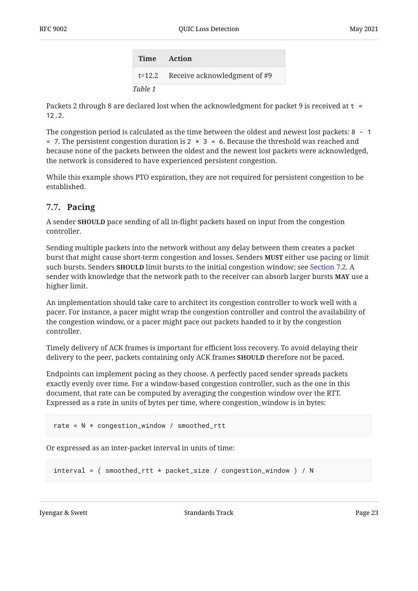**Time Action** t=12.2 Receive acknowledgment of #9 *[Table 1](#page-21-1)*

Packets 2 through 8 are declared lost when the acknowledgment for packet 9 is received at  $t =$ 12.2.

The congestion period is calculated as the time between the oldest and newest lost packets: 8 - 1  $= 7$ . The persistent congestion duration is 2  $\star$  3 = 6. Because the threshold was reached and because none of the packets between the oldest and the newest lost packets were acknowledged, the network is considered to have experienced persistent congestion.

While this example shows PTO expiration, they are not required for persistent congestion to be established.

### <span id="page-22-0"></span>**[7.7. Pacing](#page-22-0)**

A sender **SHOULD** pace sending of all in-flight packets based on input from the congestion controller.

Sending multiple packets into the network without any delay between them creates a packet burst that might cause short-term congestion and losses. Senders **MUST** either use pacing or limit such bursts. Senders **SHOULD** limit bursts to the initial congestion window; see [Section 7.2.](#page-17-1) A sender with knowledge that the network path to the receiver can absorb larger bursts **MAY** use a higher limit.

An implementation should take care to architect its congestion controller to work well with a pacer. For instance, a pacer might wrap the congestion controller and control the availability of the congestion window, or a pacer might pace out packets handed to it by the congestion controller.

Timely delivery of ACK frames is important for efficient loss recovery. To avoid delaying their delivery to the peer, packets containing only ACK frames **SHOULD** therefore not be paced.

Endpoints can implement pacing as they choose. A perfectly paced sender spreads packets exactly evenly over time. For a window-based congestion controller, such as the one in this document, that rate can be computed by averaging the congestion window over the RTT. Expressed as a rate in units of bytes per time, where congestion\_window is in bytes:

```
rate = N * congestion_window / smoothed_rtt
```
Or expressed as an inter-packet interval in units of time:

```
interval = ( smoothed_rtt * packet_size / congestion_window ) / N
```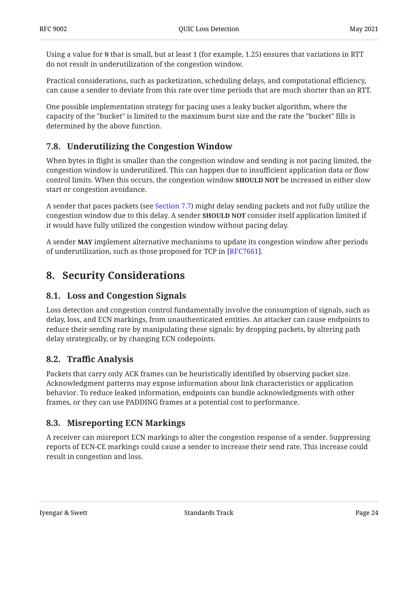Using a value for N that is small, but at least 1 (for example, 1.25) ensures that variations in RTT do not result in underutilization of the congestion window.

Practical considerations, such as packetization, scheduling delays, and computational efficiency, can cause a sender to deviate from this rate over time periods that are much shorter than an RTT.

One possible implementation strategy for pacing uses a leaky bucket algorithm, where the capacity of the "bucket" is limited to the maximum burst size and the rate the "bucket" fills is determined by the above function.

### <span id="page-23-0"></span>**[7.8. Underutilizing the Congestion Window](#page-23-0)**

When bytes in flight is smaller than the congestion window and sending is not pacing limited, the congestion window is underutilized. This can happen due to insufficient application data or flow control limits. When this occurs, the congestion window **SHOULD NOT** be increased in either slow start or congestion avoidance.

A sender that paces packets (see [Section 7.7\)](#page-22-0) might delay sending packets and not fully utilize the congestion window due to this delay. A sender **SHOULD NOT** consider itself application limited if it would have fully utilized the congestion window without pacing delay.

<span id="page-23-1"></span>A sender **MAY** implement alternative mechanisms to update its congestion window after periods of underutilization, such as those proposed for TCP in [RFC7661].

## <span id="page-23-2"></span>**[8. Security Considerations](#page-23-1)**

### **[8.1. Loss and Congestion Signals](#page-23-2)**

Loss detection and congestion control fundamentally involve the consumption of signals, such as delay, loss, and ECN markings, from unauthenticated entities. An attacker can cause endpoints to reduce their sending rate by manipulating these signals: by dropping packets, by altering path delay strategically, or by changing ECN codepoints.

### <span id="page-23-3"></span>**[8.2. T](#page-23-3)raffi[c Analysis](#page-23-3)**

Packets that carry only ACK frames can be heuristically identified by observing packet size. Acknowledgment patterns may expose information about link characteristics or application behavior. To reduce leaked information, endpoints can bundle acknowledgments with other frames, or they can use PADDING frames at a potential cost to performance.

### <span id="page-23-4"></span>**[8.3. Misreporting ECN Markings](#page-23-4)**

A receiver can misreport ECN markings to alter the congestion response of a sender. Suppressing reports of ECN-CE markings could cause a sender to increase their send rate. This increase could result in congestion and loss.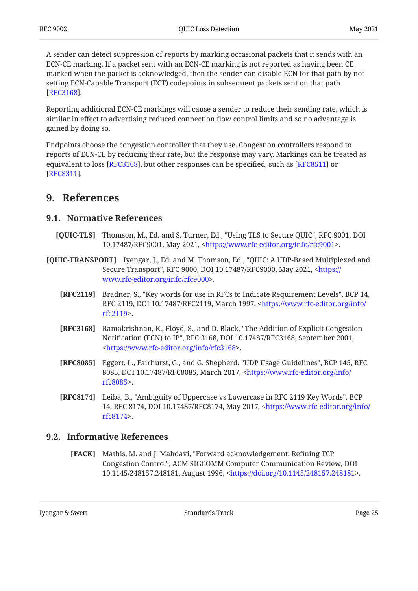A sender can detect suppression of reports by marking occasional packets that it sends with an ECN-CE marking. If a packet sent with an ECN-CE marking is not reported as having been CE marked when the packet is acknowledged, then the sender can disable ECN for that path by not setting ECN-Capable Transport (ECT) codepoints in subsequent packets sent on that path . [[RFC3168\]](#page-24-9)

Reporting additional ECN-CE markings will cause a sender to reduce their sending rate, which is similar in effect to advertising reduced connection flow control limits and so no advantage is gained by doing so.

Endpoints choose the congestion controller that they use. Congestion controllers respond to reports of ECN-CE by reducing their rate, but the response may vary. Markings can be treated as equivalent to loss  $[RFC3168]$ , but other responses can be specified, such as  $[RFC8511]$  or . [[RFC8311\]](#page-26-5)

## <span id="page-24-1"></span><span id="page-24-0"></span>**[9. References](#page-24-0)**

### **[9.1. Normative References](#page-24-1)**

- <span id="page-24-6"></span>**[QUIC-TLS]** Thomson, M., Ed. and S. Turner, Ed., "Using TLS to Secure QUIC", RFC 9001, DOI 10.17487/RFC9001, May 2021, <https://www.rfc-editor.org/info/rfc9001>.
- <span id="page-24-9"></span><span id="page-24-4"></span><span id="page-24-3"></span>**[QUIC-TRANSPORT]** Iyengar, J., Ed. and M. Thomson, Ed., "QUIC: A UDP-Based Multiplexed and Secure Transport", RFC 9000, DOI 10.17487/RFC9000, May 2021, [<https://](https://www.rfc-editor.org/info/rfc9000) . [www.rfc-editor.org/info/rfc9000>](https://www.rfc-editor.org/info/rfc9000)
	- **[RFC2119]** Bradner, S., "Key words for use in RFCs to Indicate Requirement Levels", BCP 14, RFC 2119, DOI 10.17487/RFC2119, March 1997, <[https://www.rfc-editor.org/info/](https://www.rfc-editor.org/info/rfc2119) . [rfc2119>](https://www.rfc-editor.org/info/rfc2119)
	- **[RFC3168]** Ramakrishnan, K., Floyd, S., and D. Black, "The Addition of Explicit Congestion Notification (ECN) to IP", RFC 3168, DOI 10.17487/RFC3168, September 2001, . [<https://www.rfc-editor.org/info/rfc3168](https://www.rfc-editor.org/info/rfc3168)>
	- **[RFC8085]** Eggert, L., Fairhurst, G., and G. Shepherd, "UDP Usage Guidelines", BCP 145, RFC 8085, DOI 10.17487/RFC8085, March 2017, <[https://www.rfc-editor.org/info/](https://www.rfc-editor.org/info/rfc8085) . [rfc8085>](https://www.rfc-editor.org/info/rfc8085)
	- **[RFC8174]** Leiba, B., "Ambiguity of Uppercase vs Lowercase in RFC 2119 Key Words", BCP 14, RFC 8174, DOI 10.17487/RFC8174, May 2017, [<https://www.rfc-editor.org/info/](https://www.rfc-editor.org/info/rfc8174) . [rfc8174>](https://www.rfc-editor.org/info/rfc8174)

### <span id="page-24-8"></span><span id="page-24-7"></span><span id="page-24-5"></span><span id="page-24-2"></span>**[9.2. Informative References](#page-24-2)**

**[FACK]** Mathis, M. and J. Mahdavi, "Forward acknowledgement: Refining TCP Congestion Control", ACM SIGCOMM Computer Communication Review, DOI 10.1145/248157.248181, August 1996, <https://doi.org/10.1145/248157.248181>.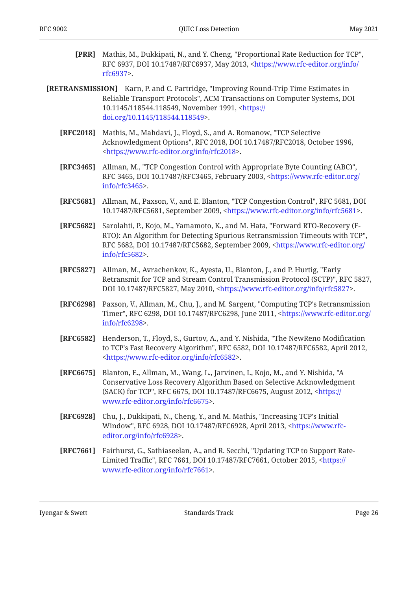- <span id="page-25-9"></span>**[PRR]** Mathis, M., Dukkipati, N., and Y. Cheng, "Proportional Rate Reduction for TCP", RFC 6937, DOI 10.17487/RFC6937, May 2013, [<https://www.rfc-editor.org/info/](https://www.rfc-editor.org/info/rfc6937) . [rfc6937>](https://www.rfc-editor.org/info/rfc6937)
- <span id="page-25-11"></span><span id="page-25-5"></span><span id="page-25-4"></span><span id="page-25-3"></span><span id="page-25-2"></span><span id="page-25-1"></span><span id="page-25-0"></span>**[RETRANSMISSION]** Karn, P. and C. Partridge, "Improving Round-Trip Time Estimates in Reliable Transport Protocols", ACM Transactions on Computer Systems, DOI 10.1145/118544.118549, November 1991, [<https://](https://doi.org/10.1145/118544.118549) . [doi.org/10.1145/118544.118549>](https://doi.org/10.1145/118544.118549)
	- **[RFC2018]** Mathis, M., Mahdavi, J., Floyd, S., and A. Romanow, "TCP Selective Acknowledgment Options", RFC 2018, DOI 10.17487/RFC2018, October 1996, . [<https://www.rfc-editor.org/info/rfc2018](https://www.rfc-editor.org/info/rfc2018)>
	- **[RFC3465]** Allman, M., "TCP Congestion Control with Appropriate Byte Counting (ABC)", RFC 3465, DOI 10.17487/RFC3465, February 2003, <[https://www.rfc-editor.org/](https://www.rfc-editor.org/info/rfc3465) . [info/rfc3465>](https://www.rfc-editor.org/info/rfc3465)
	- **[RFC5681]** Allman, M., Paxson, V., and E. Blanton, "TCP Congestion Control", RFC 5681, DOI 10.17487/RFC5681, September 2009, <https://www.rfc-editor.org/info/rfc5681>.
	- **[RFC5682]** Sarolahti, P., Kojo, M., Yamamoto, K., and M. Hata, "Forward RTO-Recovery (F-, RTO): An Algorithm for Detecting Spurious Retransmission Timeouts with TCP" RFC 5682, DOI 10.17487/RFC5682, September 2009, [<https://www.rfc-editor.org/](https://www.rfc-editor.org/info/rfc5682) . [info/rfc5682>](https://www.rfc-editor.org/info/rfc5682)
	- **[RFC5827]** Allman, M., Avrachenkov, K., Ayesta, U., Blanton, J., and P. Hurtig, "Early Retransmit for TCP and Stream Control Transmission Protocol (SCTP)", RFC 5827, DOI 10.17487/RFC5827, May 2010, <https://www.rfc-editor.org/info/rfc5827>.
	- **[RFC6298]** Paxson, V., Allman, M., Chu, J., and M. Sargent, "Computing TCP's Retransmission Timer", RFC 6298, DOI 10.17487/RFC6298, June 2011, [<https://www.rfc-editor.org/](https://www.rfc-editor.org/info/rfc6298) . [info/rfc6298>](https://www.rfc-editor.org/info/rfc6298)
	- **[RFC6582]** Henderson, T., Floyd, S., Gurtov, A., and Y. Nishida, "The NewReno Modification to TCP's Fast Recovery Algorithm", RFC 6582, DOI 10.17487/RFC6582, April 2012, . [<https://www.rfc-editor.org/info/rfc6582](https://www.rfc-editor.org/info/rfc6582)>
	- **[RFC6675]** Blanton, E., Allman, M., Wang, L., Jarvinen, I., Kojo, M., and Y. Nishida, "A (SACK) for TCP", RFC 6675, DOI 10.17487/RFC6675, August 2012, <[https://](https://www.rfc-editor.org/info/rfc6675) . [www.rfc-editor.org/info/rfc6675>](https://www.rfc-editor.org/info/rfc6675) Conservative Loss Recovery Algorithm Based on Selective Acknowledgment
	- **[RFC6928]** Chu, J., Dukkipati, N., Cheng, Y., and M. Mathis, "Increasing TCP's Initial Window", RFC 6928, DOI 10.17487/RFC6928, April 2013, <[https://www.rfc-](https://www.rfc-editor.org/info/rfc6928). [editor.org/info/rfc6928>](https://www.rfc-editor.org/info/rfc6928)
	- **[RFC7661]** Fairhurst, G., Sathiaseelan, A., and R. Secchi, "Updating TCP to Support RateLimited Traffic", RFC 7661, DOI 10.17487/RFC7661, October 2015, <[https://](https://www.rfc-editor.org/info/rfc7661) . [www.rfc-editor.org/info/rfc7661>](https://www.rfc-editor.org/info/rfc7661)

<span id="page-25-10"></span><span id="page-25-8"></span><span id="page-25-7"></span><span id="page-25-6"></span>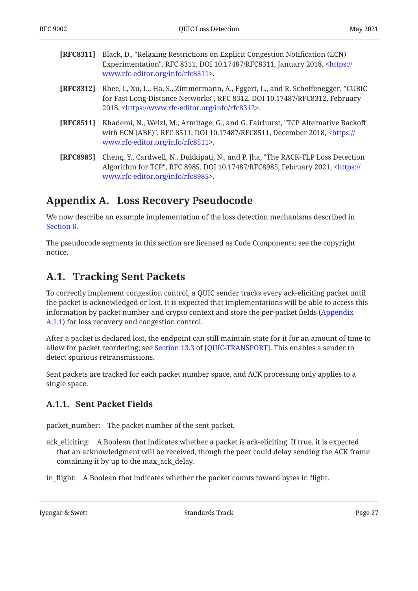<span id="page-26-5"></span>

| <b>[RFC8311]</b> Black, D., "Relaxing Restrictions on Explicit Congestion Notification (ECN) |  |
|----------------------------------------------------------------------------------------------|--|
| Experimentation", RFC 8311, DOI 10.17487/RFC8311, January 2018, <https: <="" th=""></https:> |  |
| www.rfc-editor.org/info/rfc8311>.                                                            |  |

- <span id="page-26-4"></span>**[RFC8312]** Rhee, I., Xu, L., Ha, S., Zimmermann, A., Eggert, L., and R. Scheffenegger, "CUBIC for Fast Long-Distance Networks", RFC 8312, DOI 10.17487/RFC8312, February 2018, <https://www.rfc-editor.org/info/rfc8312>.
- <span id="page-26-6"></span>**[RFC8511]** Khademi, N., Welzl, M., Armitage, G., and G. Fairhurst, "TCP Alternative Backoff with ECN (ABE)", RFC 8511, DOI 10.17487/RFC8511, December 2018, [<https://](https://www.rfc-editor.org/info/rfc8511) . [www.rfc-editor.org/info/rfc8511>](https://www.rfc-editor.org/info/rfc8511)
- <span id="page-26-3"></span>**[RFC8985]** Cheng, Y., Cardwell, N., Dukkipati, N., and P. Jha, "The RACK-TLP Loss Detection Algorithm for TCP", RFC 8985, DOI 10.17487/RFC8985, February 2021, <[https://](https://www.rfc-editor.org/info/rfc8985) . [www.rfc-editor.org/info/rfc8985>](https://www.rfc-editor.org/info/rfc8985)

## <span id="page-26-0"></span>**[Appendix A. Loss Recovery Pseudocode](#page-26-0)**

We now describe an example implementation of the loss detection mechanisms described in [Section 6.](#page-10-0)

The pseudocode segments in this section are licensed as Code Components; see the copyright notice.

## <span id="page-26-1"></span>**[A.1. Tracking Sent Packets](#page-26-1)**

To correctly implement congestion control, a QUIC sender tracks every ack-eliciting packet until the packet is acknowledged or lost. It is expected that implementations will be able to access this information by packet number and crypto context and store the per-packet fields [\(Appendix](#page-26-2) [A.1.1](#page-26-2)) for loss recovery and congestion control.

After a packet is declared lost, the endpoint can still maintain state for it for an amount of time to allowfor packet reordering; see Section 13.3 of [QUIC-TRANSPORT]. This enables a sender to detect spurious retransmissions.

Sent packets are tracked for each packet number space, and ACK processing only applies to a single space.

### <span id="page-26-2"></span>**[A.1.1. Sent Packet Fields](#page-26-2)**

packet\_number: The packet number of the sent packet.

- ack\_eliciting: A Boolean that indicates whether a packet is ack-eliciting. If true, it is expected that an acknowledgment will be received, though the peer could delay sending the ACK frame containing it by up to the max\_ack\_delay.
- in\_flight: A Boolean that indicates whether the packet counts toward bytes in flight.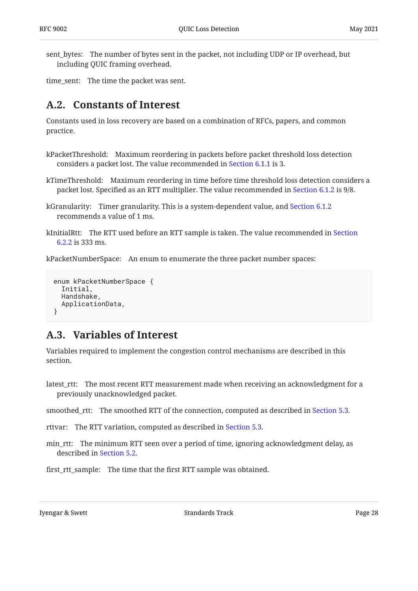sent\_bytes: The number of bytes sent in the packet, not including UDP or IP overhead, but including QUIC framing overhead.

<span id="page-27-0"></span>time\_sent: The time the packet was sent.

## **[A.2. Constants of Interest](#page-27-0)**

Constants used in loss recovery are based on a combination of RFCs, papers, and common practice.

- kPacketThreshold: Maximum reordering in packets before packet threshold loss detection considers a packet lost. The value recommended in [Section 6.1.1](#page-11-0) is 3.
- kTimeThreshold: Maximum reordering in time before time threshold loss detection considers a packet lost. Specified as an RTT multiplier. The value recommended in [Section 6.1.2](#page-11-1) is 9/8.
- kGranularity: Timer granularity. This is a system-dependent value, and [Section 6.1.2](#page-11-1) recommends a value of 1 ms.
- kInitialRtt: The RTT used before an RTT sample is taken. The value recommended in [Section](#page-13-0) [6.2.2](#page-13-0) is 333 ms.

kPacketNumberSpace: An enum to enumerate the three packet number spaces:

```
enum kPacketNumberSpace {
   Initial,
   Handshake,
   ApplicationData,
}
```
## <span id="page-27-1"></span>**[A.3. Variables of Interest](#page-27-1)**

Variables required to implement the congestion control mechanisms are described in this section.

latest\_rtt: The most recent RTT measurement made when receiving an acknowledgment for a previously unacknowledged packet.

smoothed\_rtt: The smoothed RTT of the connection, computed as described in [Section 5.3](#page-8-1).

rttvar: The RTT variation, computed as described in [Section 5.3.](#page-8-1)

min\_rtt: The minimum RTT seen over a period of time, ignoring acknowledgment delay, as described in [Section 5.2](#page-8-0).

first\_rtt\_sample: The time that the first RTT sample was obtained.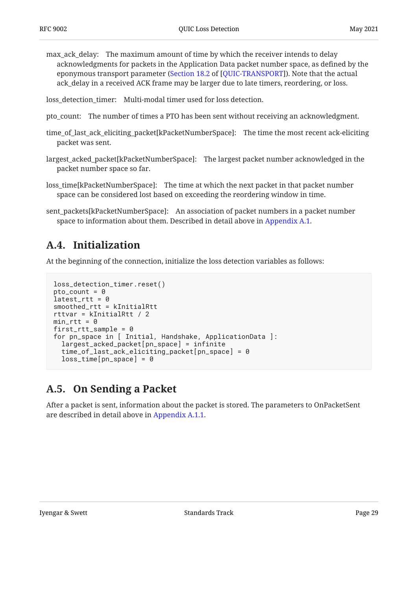max\_ack\_delay: The maximum amount of time by which the receiver intends to delay acknowledgments for packets in the Application Data packet number space, as defined by the eponymous transport parameter ([Section 18.2](https://www.rfc-editor.org/rfc/rfc9000#section-18.2) of [\[QUIC-TRANSPORT](#page-24-3)]). Note that the actual ack\_delay in a received ACK frame may be larger due to late timers, reordering, or loss.

loss\_detection\_timer: Multi-modal timer used for loss detection.

- pto\_count: The number of times a PTO has been sent without receiving an acknowledgment.
- time\_of\_last\_ack\_eliciting\_packet[kPacketNumberSpace]: The time the most recent ack-eliciting packet was sent.
- largest\_acked\_packet[kPacketNumberSpace]: The largest packet number acknowledged in the packet number space so far.
- loss\_time[kPacketNumberSpace]: The time at which the next packet in that packet number space can be considered lost based on exceeding the reordering window in time.
- <span id="page-28-0"></span>sent\_packets[kPacketNumberSpace]: An association of packet numbers in a packet number space to information about them. Described in detail above in [Appendix A.1.](#page-26-1)

## **[A.4. Initialization](#page-28-0)**

At the beginning of the connection, initialize the loss detection variables as follows:

```
loss_detection_timer.reset()
pto_{count} = 0latest-trt = 0smoothed_rtt = kInitialRtt
rttvar = kInitialRtt / 2
min\_rtt = 0first_rtt_sample = 0
for pn_space in [ Initial, Handshake, ApplicationData ]:
   largest_acked_packet[pn_space] = infinite
   time_of_last_ack_eliciting_packet[pn_space] = 0
  loss_time[pn_space] = 0
```
## <span id="page-28-1"></span>**[A.5. On Sending a Packet](#page-28-1)**

After a packet is sent, information about the packet is stored. The parameters to OnPacketSent are described in detail above in [Appendix A.1.1.](#page-26-2)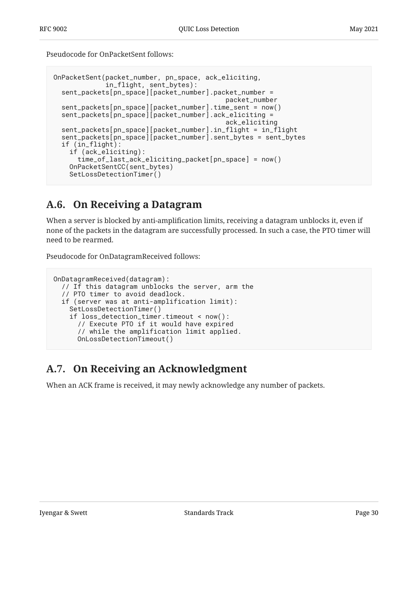Pseudocode for OnPacketSent follows:

```
OnPacketSent(packet_number, pn_space, ack_eliciting,
              in_flight, sent_bytes):
   sent_packets[pn_space][packet_number].packet_number =
                                             packet_number
   sent_packets[pn_space][packet_number].time_sent = now()
   sent_packets[pn_space][packet_number].ack_eliciting =
                                             ack_eliciting
   sent_packets[pn_space][packet_number].in_flight = in_flight
   sent_packets[pn_space][packet_number].sent_bytes = sent_bytes
   if (in_flight):
     if (ack_eliciting):
       time_of_last_ack_eliciting_packet[pn_space] = now()
     OnPacketSentCC(sent_bytes)
     SetLossDetectionTimer()
```
## <span id="page-29-0"></span>**[A.6. On Receiving a Datagram](#page-29-0)**

When a server is blocked by anti-amplification limits, receiving a datagram unblocks it, even if none of the packets in the datagram are successfully processed. In such a case, the PTO timer will need to be rearmed.

Pseudocode for OnDatagramReceived follows:

```
OnDatagramReceived(datagram):
   // If this datagram unblocks the server, arm the
   // PTO timer to avoid deadlock.
   if (server was at anti-amplification limit):
     SetLossDetectionTimer()
     if loss_detection_timer.timeout < now():
       // Execute PTO if it would have expired
       // while the amplification limit applied.
       OnLossDetectionTimeout()
```
# <span id="page-29-1"></span>**[A.7. On Receiving an Acknowledgment](#page-29-1)**

When an ACK frame is received, it may newly acknowledge any number of packets.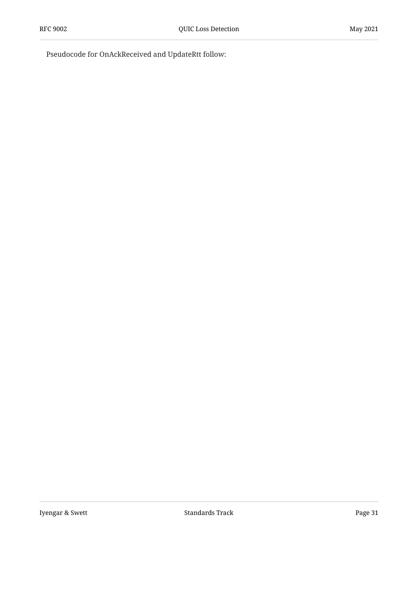Pseudocode for OnAckReceived and UpdateRtt follow: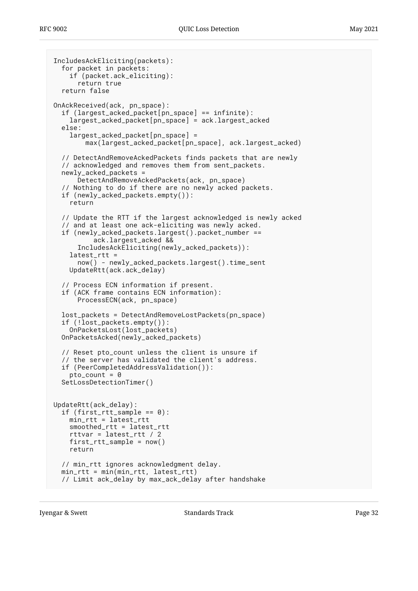```
IncludesAckEliciting(packets):
   for packet in packets:
     if (packet.ack_eliciting):
       return true
   return false
OnAckReceived(ack, pn_space):
   if (largest_acked_packet[pn_space] == infinite):
     largest_acked_packet[pn_space] = ack.largest_acked
   else:
     largest_acked_packet[pn_space] =
         max(largest_acked_packet[pn_space], ack.largest_acked)
   // DetectAndRemoveAckedPackets finds packets that are newly
   // acknowledged and removes them from sent_packets.
   newly_acked_packets =
       DetectAndRemoveAckedPackets(ack, pn_space)
   // Nothing to do if there are no newly acked packets.
   if (newly_acked_packets.empty()):
     return
   // Update the RTT if the largest acknowledged is newly acked
   // and at least one ack-eliciting was newly acked.
   if (newly_acked_packets.largest().packet_number ==
           ack.largest_acked &&
       IncludesAckEliciting(newly_acked_packets)):
     latest_rtt =
       now() - newly_acked_packets.largest().time_sent
     UpdateRtt(ack.ack_delay)
   // Process ECN information if present.
   if (ACK frame contains ECN information):
       ProcessECN(ack, pn_space)
   lost_packets = DetectAndRemoveLostPackets(pn_space)
   if (!lost_packets.empty()):
     OnPacketsLost(lost_packets)
   OnPacketsAcked(newly_acked_packets)
   // Reset pto_count unless the client is unsure if
   // the server has validated the client's address.
   if (PeerCompletedAddressValidation()):
    pto_{count} = 0 SetLossDetectionTimer()
UpdateRtt(ack_delay):
  if (first_rtt_sample == 0):
     min_rtt = latest_rtt
     smoothed_rtt = latest_rtt
     rttvar = latest_rtt / 2
    first\_rtt\_sample = now() return
   // min_rtt ignores acknowledgment delay.
   min_rtt = min(min_rtt, latest_rtt)
   // Limit ack_delay by max_ack_delay after handshake
```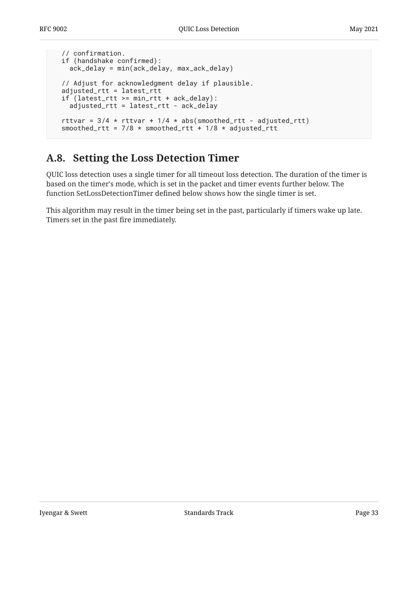```
 // confirmation.
 if (handshake confirmed):
   ack_delay = min(ack_delay, max_ack_delay)
 // Adjust for acknowledgment delay if plausible.
 adjusted_rtt = latest_rtt
 if (latest_rtt >= min_rtt + ack_delay):
   adjusted_rtt = latest_rtt - ack_delay
rttvar = 3/4 * rttvar + 1/4 * abs(smoothed_rtt - adjusted_rtt)
smoothed_rtt = 7/8 * smoothed_rtt + 1/8 * adjusted_rtt
```
## <span id="page-32-0"></span>**[A.8. Setting the Loss Detection Timer](#page-32-0)**

QUIC loss detection uses a single timer for all timeout loss detection. The duration of the timer is based on the timer's mode, which is set in the packet and timer events further below. The function SetLossDetectionTimer defined below shows how the single timer is set.

This algorithm may result in the timer being set in the past, particularly if timers wake up late. Timers set in the past fire immediately.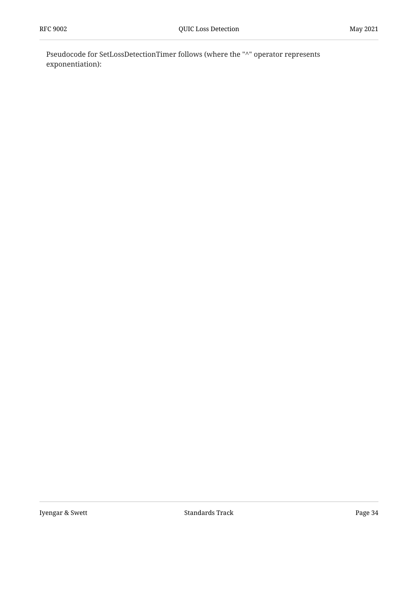Pseudocode for SetLossDetectionTimer follows (where the "^" operator represents exponentiation):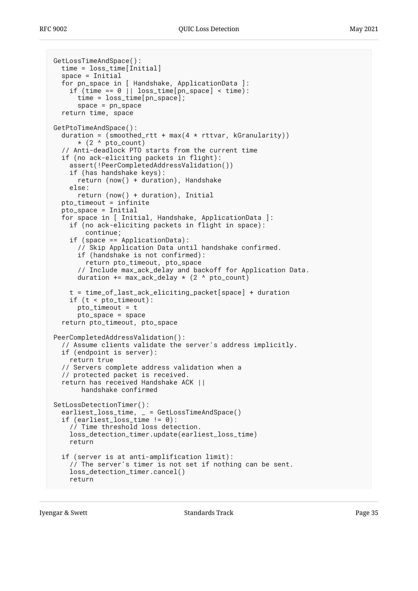```
GetLossTimeAndSpace():
   time = loss_time[Initial]
   space = Initial
   for pn_space in [ Handshake, ApplicationData ]:
    if (time == 0 || loss_time[pn_space] < time):
       time = loss_time[pn_space];
       space = pn_space
   return time, space
GetPtoTimeAndSpace():
  duration = (smoothed_rtt + max(4 * rttvar, kGranularity))
      *(2 \wedge pto_{ccount}) // Anti-deadlock PTO starts from the current time
   if (no ack-eliciting packets in flight):
     assert(!PeerCompletedAddressValidation())
     if (has handshake keys):
       return (now() + duration), Handshake
     else:
       return (now() + duration), Initial
  pto timeout = infinite
   pto_space = Initial
   for space in [ Initial, Handshake, ApplicationData ]:
     if (no ack-eliciting packets in flight in space):
         continue;
     if (space == ApplicationData):
       // Skip Application Data until handshake confirmed.
       if (handshake is not confirmed):
         return pto_timeout, pto_space
       // Include max_ack_delay and backoff for Application Data.
      duration += max_ack_delay * (2 \land pto_count)
     t = time_of_last_ack_eliciting_packet[space] + duration
     if (t < pto_timeout):
       pto_timeout = t
       pto_space = space
   return pto_timeout, pto_space
PeerCompletedAddressValidation():
   // Assume clients validate the server's address implicitly.
   if (endpoint is server):
     return true
   // Servers complete address validation when a
   // protected packet is received.
   return has received Handshake ACK ||
        handshake confirmed
SetLossDetectionTimer():
   earliest_loss_time, _ = GetLossTimeAndSpace()
  if (earliest_loss_time != 0):
     // Time threshold loss detection.
     loss_detection_timer.update(earliest_loss_time)
     return
   if (server is at anti-amplification limit):
     // The server's timer is not set if nothing can be sent.
     loss_detection_timer.cancel()
     return
```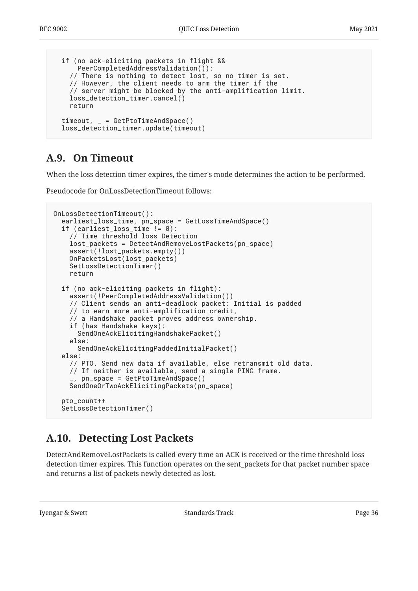```
 if (no ack-eliciting packets in flight &&
     PeerCompletedAddressValidation()):
   // There is nothing to detect lost, so no timer is set.
   // However, the client needs to arm the timer if the
   // server might be blocked by the anti-amplification limit.
   loss_detection_timer.cancel()
   return
 timeout, _ = GetPtoTimeAndSpace()
 loss_detection_timer.update(timeout)
```
## <span id="page-35-0"></span>**[A.9. On Timeout](#page-35-0)**

When the loss detection timer expires, the timer's mode determines the action to be performed.

Pseudocode for OnLossDetectionTimeout follows:

```
OnLossDetectionTimeout():
   earliest_loss_time, pn_space = GetLossTimeAndSpace()
   if (earliest_loss_time != 0):
     // Time threshold loss Detection
     lost_packets = DetectAndRemoveLostPackets(pn_space)
     assert(!lost_packets.empty())
     OnPacketsLost(lost_packets)
     SetLossDetectionTimer()
     return
   if (no ack-eliciting packets in flight):
     assert(!PeerCompletedAddressValidation())
     // Client sends an anti-deadlock packet: Initial is padded
     // to earn more anti-amplification credit,
     // a Handshake packet proves address ownership.
     if (has Handshake keys):
       SendOneAckElicitingHandshakePacket()
     else:
       SendOneAckElicitingPaddedInitialPacket()
   else:
     // PTO. Send new data if available, else retransmit old data.
     // If neither is available, send a single PING frame.
      _, pn_space = GetPtoTimeAndSpace()
     SendOneOrTwoAckElicitingPackets(pn_space)
   pto_count++
   SetLossDetectionTimer()
```
## <span id="page-35-1"></span>**[A.10. Detecting Lost Packets](#page-35-1)**

DetectAndRemoveLostPackets is called every time an ACK is received or the time threshold loss detection timer expires. This function operates on the sent\_packets for that packet number space and returns a list of packets newly detected as lost.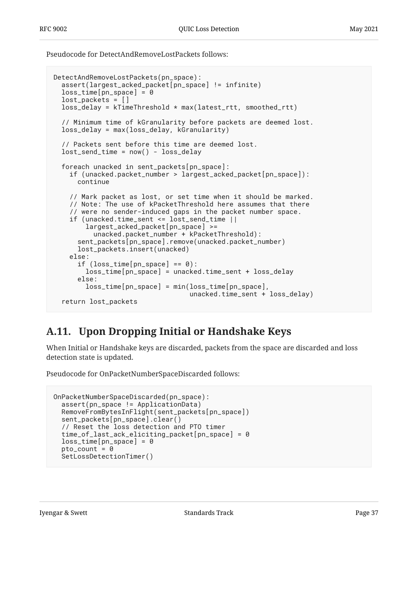Pseudocode for DetectAndRemoveLostPackets follows:

```
DetectAndRemoveLostPackets(pn_space):
   assert(largest_acked_packet[pn_space] != infinite)
  loss_time[pn_space] = 0 lost_packets = []
   loss_delay = kTimeThreshold * max(latest_rtt, smoothed_rtt)
   // Minimum time of kGranularity before packets are deemed lost.
   loss_delay = max(loss_delay, kGranularity)
   // Packets sent before this time are deemed lost.
  lost\_send\_time = now() - loss\_delay foreach unacked in sent_packets[pn_space]:
     if (unacked.packet_number > largest_acked_packet[pn_space]):
       continue
     // Mark packet as lost, or set time when it should be marked.
     // Note: The use of kPacketThreshold here assumes that there
     // were no sender-induced gaps in the packet number space.
     if (unacked.time_sent <= lost_send_time ||
         largest_acked_packet[pn_space] >=
           unacked.packet_number + kPacketThreshold):
       sent_packets[pn_space].remove(unacked.packet_number)
       lost_packets.insert(unacked)
     else:
      if (\text{loss_time}[pn\_space] == 0):
         loss_time[pn_space] = unacked.time_sent + loss_delay
       else:
         loss_time[pn_space] = min(loss_time[pn_space],
                                    unacked.time_sent + loss_delay)
   return lost_packets
```
## <span id="page-36-0"></span>**[A.11. Upon Dropping Initial or Handshake Keys](#page-36-0)**

When Initial or Handshake keys are discarded, packets from the space are discarded and loss detection state is updated.

Pseudocode for OnPacketNumberSpaceDiscarded follows:

```
OnPacketNumberSpaceDiscarded(pn_space):
   assert(pn_space != ApplicationData)
   RemoveFromBytesInFlight(sent_packets[pn_space])
   sent_packets[pn_space].clear()
   // Reset the loss detection and PTO timer
   time_of_last_ack_eliciting_packet[pn_space] = 0
   loss_time[pn_space] = 0
  pto_{\text{count}} = 0 SetLossDetectionTimer()
```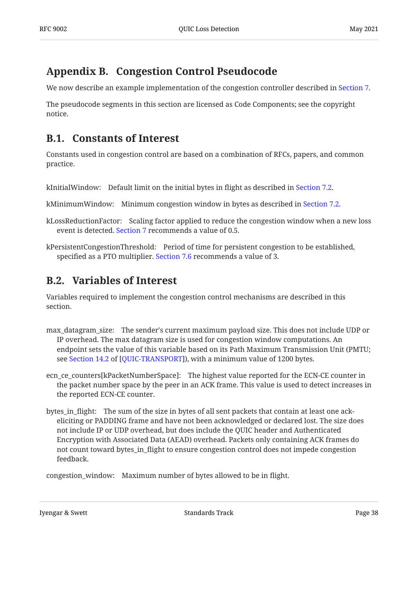# <span id="page-37-0"></span>**[Appendix B. Congestion Control Pseudocode](#page-37-0)**

We now describe an example implementation of the congestion controller described in [Section 7](#page-16-1).

<span id="page-37-1"></span>The pseudocode segments in this section are licensed as Code Components; see the copyright notice.

## **[B.1. Constants of Interest](#page-37-1)**

Constants used in congestion control are based on a combination of RFCs, papers, and common practice.

kInitialWindow: Default limit on the initial bytes in flight as described in [Section 7.2.](#page-17-1)

kMinimumWindow: Minimum congestion window in bytes as described in [Section 7.2.](#page-17-1)

kLossReductionFactor: Scaling factor applied to reduce the congestion window when a new loss event is detected. [Section 7](#page-16-1) recommends a value of 0.5.

<span id="page-37-2"></span>kPersistentCongestionThreshold: Period of time for persistent congestion to be established, specified as a PTO multiplier. [Section 7.6](#page-19-3) recommends a value of 3.

## **[B.2. Variables of Interest](#page-37-2)**

Variables required to implement the congestion control mechanisms are described in this section.

- max\_datagram\_size: The sender's current maximum payload size. This does not include UDP or IP overhead. The max datagram size is used for congestion window computations. An endpoint sets the value of this variable based on its Path Maximum Transmission Unit (PMTU; see Section 14.2 of [QUIC-TRANSPORT]), with a minimum value of 1200 bytes.
- ecn\_ce\_counters[kPacketNumberSpace]: The highest value reported for the ECN-CE counter in the packet number space by the peer in an ACK frame. This value is used to detect increases in the reported ECN-CE counter.
- bytes\_in\_flight: The sum of the size in bytes of all sent packets that contain at least one ackeliciting or PADDING frame and have not been acknowledged or declared lost. The size does not include IP or UDP overhead, but does include the QUIC header and Authenticated Encryption with Associated Data (AEAD) overhead. Packets only containing ACK frames do not count toward bytes\_in\_flight to ensure congestion control does not impede congestion feedback.

congestion\_window: Maximum number of bytes allowed to be in flight.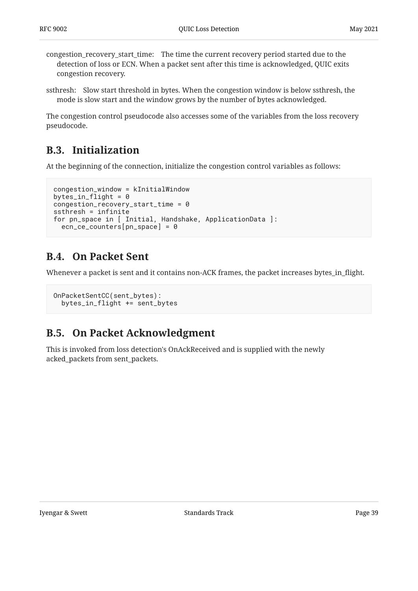- congestion\_recovery\_start\_time: The time the current recovery period started due to the detection of loss or ECN. When a packet sent after this time is acknowledged, QUIC exits congestion recovery.
- ssthresh: Slow start threshold in bytes. When the congestion window is below ssthresh, the mode is slow start and the window grows by the number of bytes acknowledged.

<span id="page-38-0"></span>The congestion control pseudocode also accesses some of the variables from the loss recovery pseudocode.

## **[B.3. Initialization](#page-38-0)**

At the beginning of the connection, initialize the congestion control variables as follows:

```
congestion_window = kInitialWindow
bytes_in_flight = 0congestion_recovery_start_time = 0
ssthresh = infinite
for pn_space in [ Initial, Handshake, ApplicationData ]:
   ecn_ce_counters[pn_space] = 0
```
## <span id="page-38-1"></span>**[B.4. On Packet Sent](#page-38-1)**

Whenever a packet is sent and it contains non-ACK frames, the packet increases bytes\_in\_flight.

```
OnPacketSentCC(sent_bytes):
   bytes_in_flight += sent_bytes
```
## <span id="page-38-2"></span>**[B.5. On Packet Acknowledgment](#page-38-2)**

This is invoked from loss detection's OnAckReceived and is supplied with the newly acked\_packets from sent\_packets.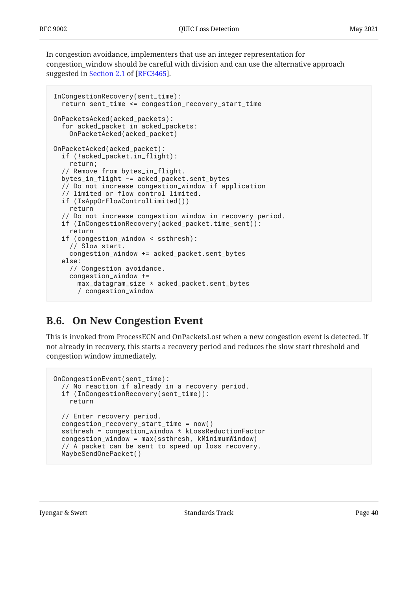In congestion avoidance, implementers that use an integer representation for congestion\_window should be careful with division and can use the alternative approach suggested in [Section 2.1](https://www.rfc-editor.org/rfc/rfc3465#section-2.1) of [\[RFC3465](#page-25-11)].

```
InCongestionRecovery(sent_time):
   return sent_time <= congestion_recovery_start_time
OnPacketsAcked(acked_packets):
   for acked_packet in acked_packets:
     OnPacketAcked(acked_packet)
OnPacketAcked(acked_packet):
   if (!acked_packet.in_flight):
     return;
  // Remove from bytes in flight.
   bytes_in_flight -= acked_packet.sent_bytes
   // Do not increase congestion_window if application
   // limited or flow control limited.
   if (IsAppOrFlowControlLimited())
     return
   // Do not increase congestion window in recovery period.
   if (InCongestionRecovery(acked_packet.time_sent)):
     return
   if (congestion_window < ssthresh):
     // Slow start.
     congestion_window += acked_packet.sent_bytes
   else:
     // Congestion avoidance.
     congestion_window +=
       max_datagram_size * acked_packet.sent_bytes
       / congestion_window
```
## <span id="page-39-0"></span>**[B.6. On New Congestion Event](#page-39-0)**

This is invoked from ProcessECN and OnPacketsLost when a new congestion event is detected. If not already in recovery, this starts a recovery period and reduces the slow start threshold and congestion window immediately.

```
OnCongestionEvent(sent_time):
   // No reaction if already in a recovery period.
   if (InCongestionRecovery(sent_time)):
     return
   // Enter recovery period.
   congestion_recovery_start_time = now()
   ssthresh = congestion_window * kLossReductionFactor
   congestion_window = max(ssthresh, kMinimumWindow)
   // A packet can be sent to speed up loss recovery.
   MaybeSendOnePacket()
```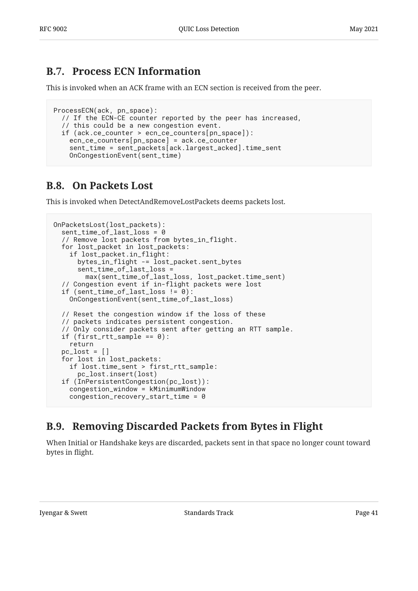## <span id="page-40-0"></span>**[B.7. Process ECN Information](#page-40-0)**

This is invoked when an ACK frame with an ECN section is received from the peer.

```
ProcessECN(ack, pn_space):
   // If the ECN-CE counter reported by the peer has increased,
   // this could be a new congestion event.
   if (ack.ce_counter > ecn_ce_counters[pn_space]):
     ecn_ce_counters[pn_space] = ack.ce_counter
     sent_time = sent_packets[ack.largest_acked].time_sent
     OnCongestionEvent(sent_time)
```
## <span id="page-40-1"></span>**[B.8. On Packets Lost](#page-40-1)**

This is invoked when DetectAndRemoveLostPackets deems packets lost.

```
OnPacketsLost(lost_packets):
   sent_time_of_last_loss = 0
   // Remove lost packets from bytes_in_flight.
   for lost_packet in lost_packets:
     if lost_packet.in_flight:
       bytes_in_flight -= lost_packet.sent_bytes
       sent_time_of_last_loss =
         max(sent_time_of_last_loss, lost_packet.time_sent)
   // Congestion event if in-flight packets were lost
   if (sent_time_of_last_loss != 0):
     OnCongestionEvent(sent_time_of_last_loss)
   // Reset the congestion window if the loss of these
   // packets indicates persistent congestion.
   // Only consider packets sent after getting an RTT sample.
  if (first_rtt_sample == 0):
     return
  pc\_lost = [] for lost in lost_packets:
     if lost.time_sent > first_rtt_sample:
       pc_lost.insert(lost)
   if (InPersistentCongestion(pc_lost)):
     congestion_window = kMinimumWindow
     congestion_recovery_start_time = 0
```
## <span id="page-40-2"></span>**[B.9. Removing Discarded Packets from Bytes in Flight](#page-40-2)**

When Initial or Handshake keys are discarded, packets sent in that space no longer count toward bytes in flight.